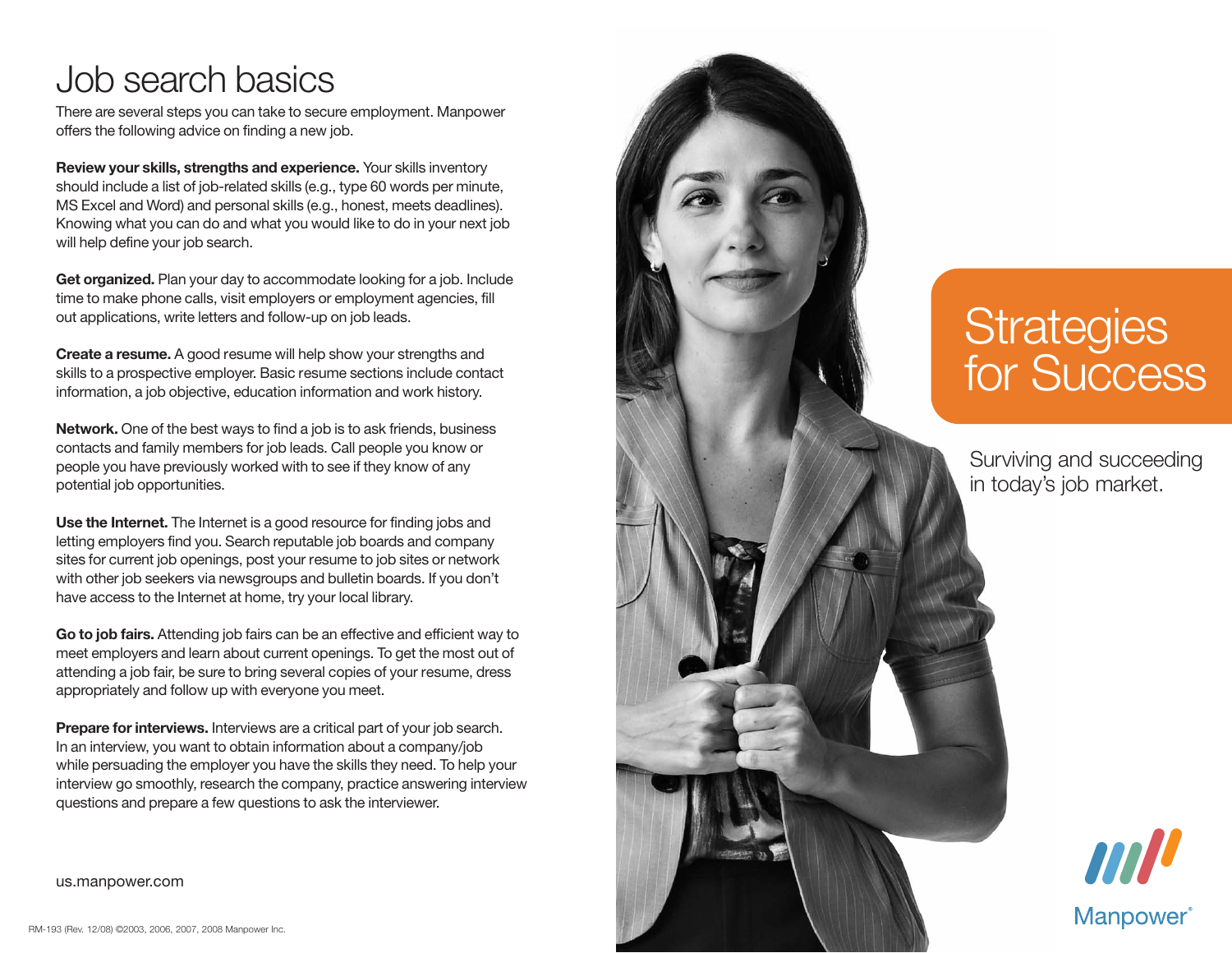# Job search basics

There are several steps you can take to secure employment. Manpower offers the following advice on finding a new job.

**Review your skills, strengths and experience.** Your skills inventory should include a list of job-related skills (e.g., type 60 words per minute, MS Excel and Word) and personal skills (e.g., honest, meets deadlines). Knowing what you can do and what you would like to do in your next job will help define your job search.

**Get organized.** Plan your day to accommodate looking for a job. Include time to make phone calls, visit employers or employment agencies, fill out applications, write letters and follow-up on job leads.

**Create a resume.** A good resume will help show your strengths and skills to a prospective employer. Basic resume sections include contact information, a job objective, education information and work history.

**Network.** One of the best ways to find a job is to ask friends, business contacts and family members for job leads. Call people you know or people you have previously worked with to see if they know of any potential job opportunities.

**Use the Internet.** The Internet is a good resource for finding jobs and letting employers find you. Search reputable job boards and company sites for current job openings, post your resume to job sites or network with other job seekers via newsgroups and bulletin boards. If you don't have access to the Internet at home, try your local library.

**Go to job fairs.** Attending job fairs can be an effective and efficient way to meet employers and learn about current openings. To get the most out of attending a job fair, be sure to bring several copies of your resume, dress appropriately and follow up with everyone you meet.

**Prepare for interviews.** Interviews are a critical part of your job search. In an interview, you want to obtain information about a company/job while persuading the employer you have the skills they need. To help your interview go smoothly, research the company, practice answering interview questions and prepare a few questions to ask the interviewer.

# **Strategies** for Success

Surviving and succeeding in today's job market.



us.manpower.com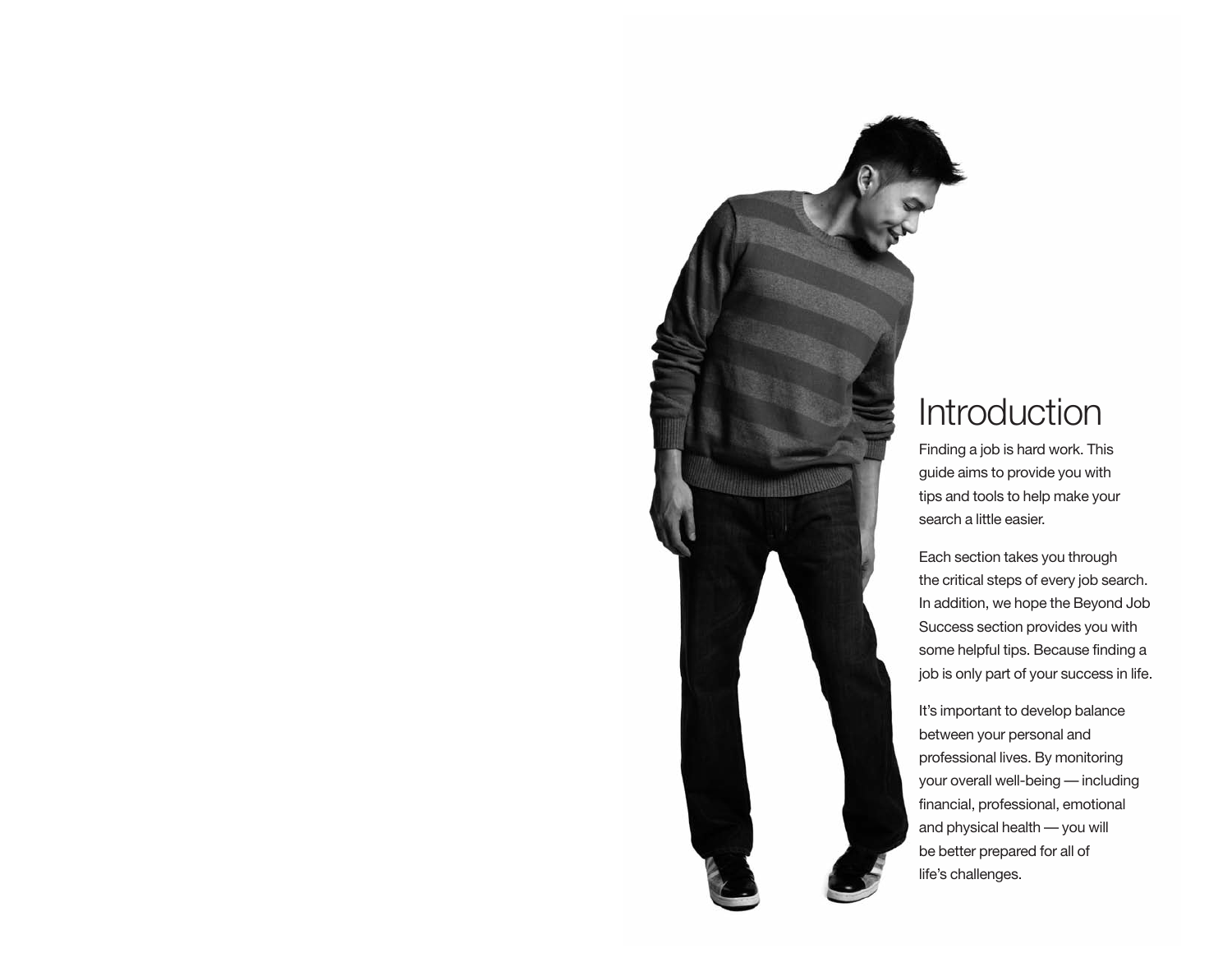

# **Introduction**

Finding a job is hard work. This guide aims to provide you with tips and tools to help make your search a little easier.

Each section takes you through the critical steps of every job search. In addition, we hope the Beyond Job Success section provides you with some helpful tips. Because finding a job is only part of your success in life.

It's important to develop balance between your personal and professional lives. By monitoring your overall well-being — including financial, professional, emotional and physical health — you will be better prepared for all of life's challenges.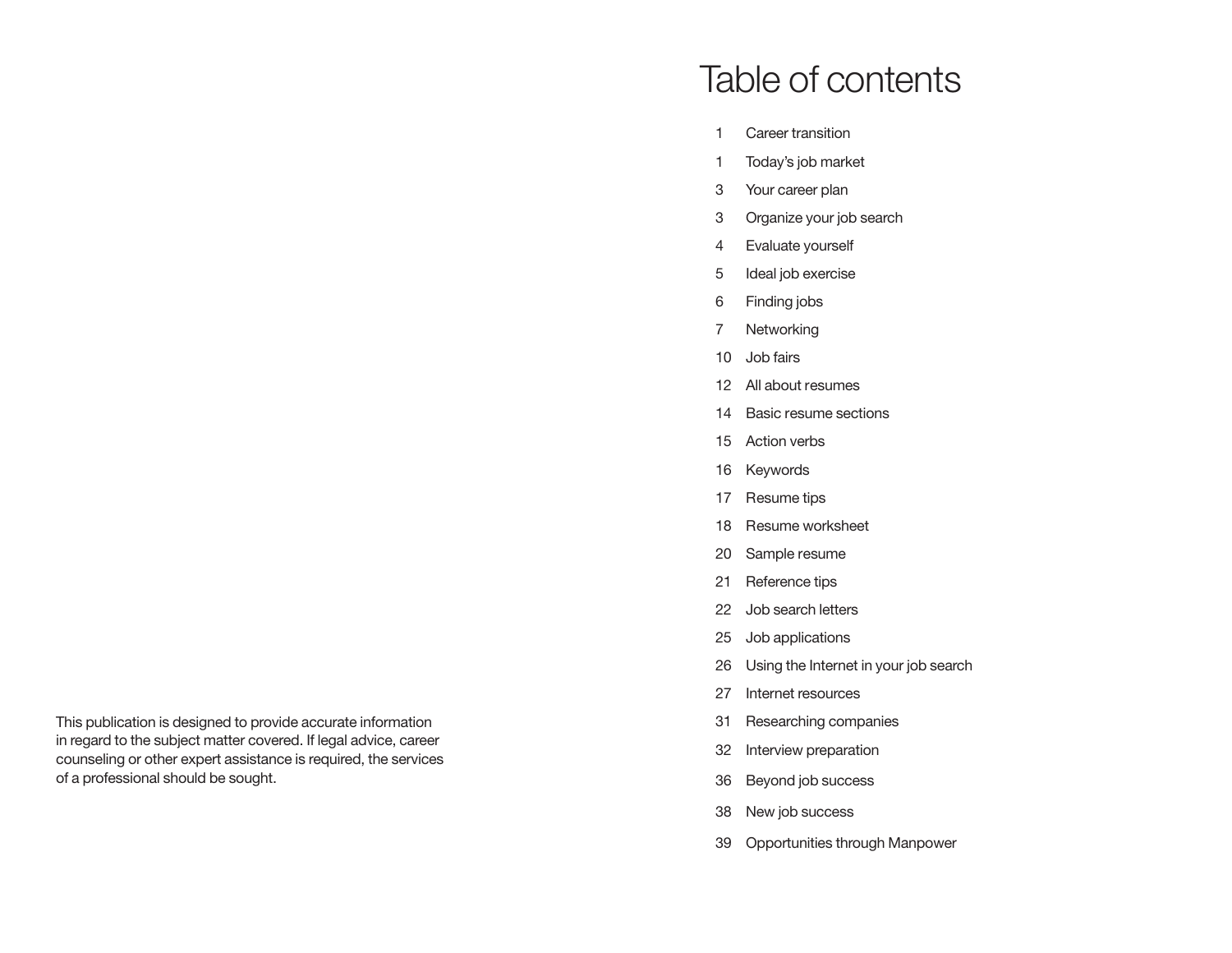# Table of contents

- 1 Career transition
- 1 Today's job market
- 3 Your career plan
- 3 Organize your job search
- 4 Evaluate yourself
- 5 Ideal job exercise
- 6 Finding jobs
- 7 Networking
- 10 Job fairs
- 12 All about resumes
- 14 Basic resume sections
- 15 Action verbs
- 16 Keywords
- 17 Resume tips
- 18 Resume worksheet
- 20 Sample resume
- 21 Reference tips
- 22 Job search letters
- 25 Job applications
- 26 Using the Internet in your job search
- 27 Internet resources
- 31 Researching companies
- 32 Interview preparation
- 36 Beyond job success
- 38 New job success
- 39 Opportunities through Manpower

This publication is designed to provide accurate information in regard to the subject matter covered. If legal advice, career counseling or other expert assistance is required, the services of a professional should be sought.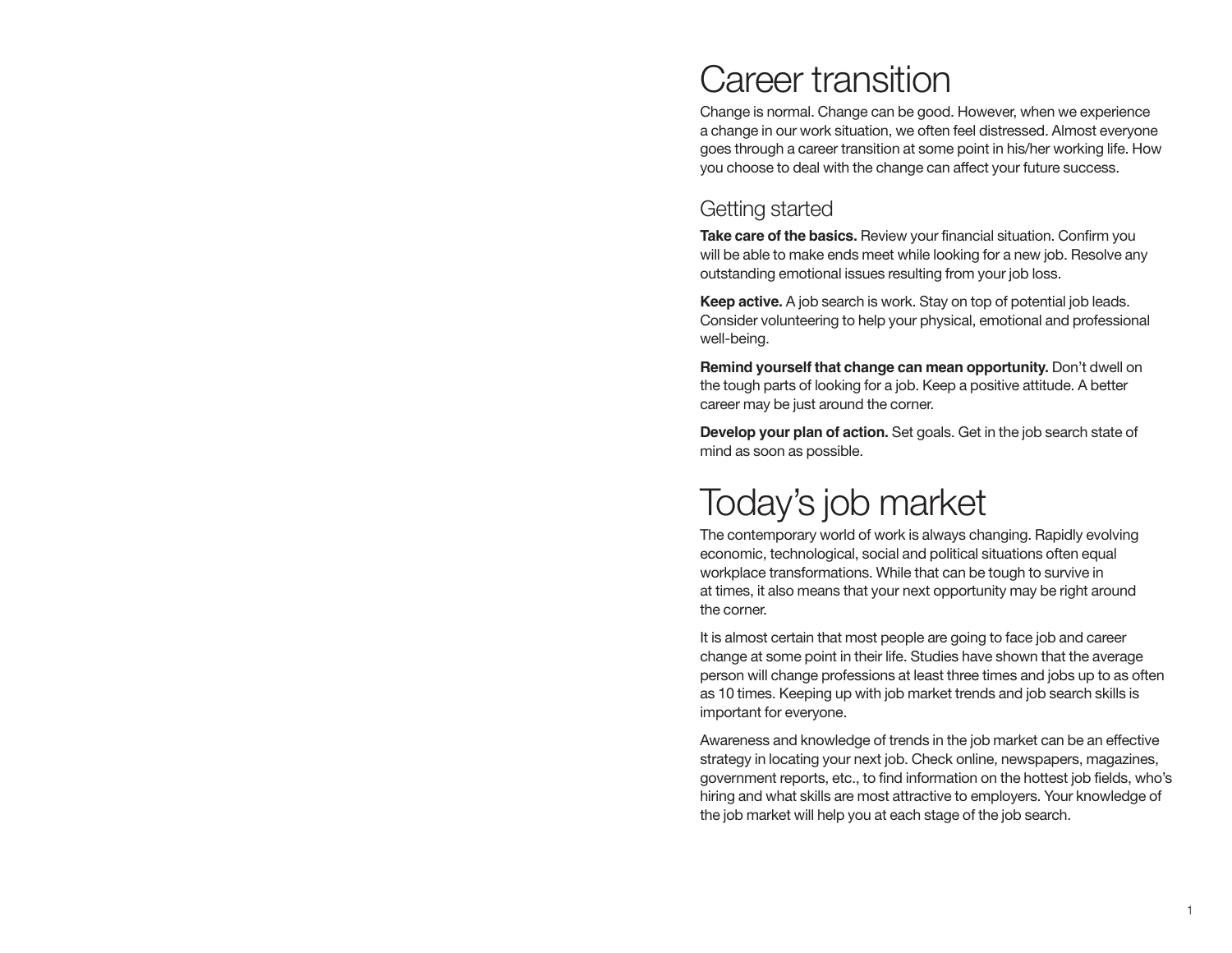# Career transition

Change is normal. Change can be good. However, when we experience a change in our work situation, we often feel distressed. Almost everyone goes through a career transition at some point in his/her working life. How you choose to deal with the change can affect your future success.

## Getting started

**Take care of the basics.** Review your financial situation. Confirm you will be able to make ends meet while looking for a new job. Resolve any outstanding emotional issues resulting from your job loss.

**Keep active.** A job search is work. Stay on top of potential job leads. Consider volunteering to help your physical, emotional and professional well-being.

**Remind yourself that change can mean opportunity.** Don't dwell on the tough parts of looking for a job. Keep a positive attitude. A better career may be just around the corner.

**Develop your plan of action.** Set goals. Get in the job search state of mind as soon as possible.

# Today's job market

The contemporary world of work is always changing. Rapidly evolving economic, technological, social and political situations often equal workplace transformations. While that can be tough to survive in at times, it also means that your next opportunity may be right around the corner.

It is almost certain that most people are going to face job and career change at some point in their life. Studies have shown that the average person will change professions at least three times and jobs up to as often as 10 times. Keeping up with job market trends and job search skills is important for everyone.

Awareness and knowledge of trends in the job market can be an effective strategy in locating your next job. Check online, newspapers, magazines, government reports, etc., to find information on the hottest job fields, who's hiring and what skills are most attractive to employers. Your knowledge of the job market will help you at each stage of the job search.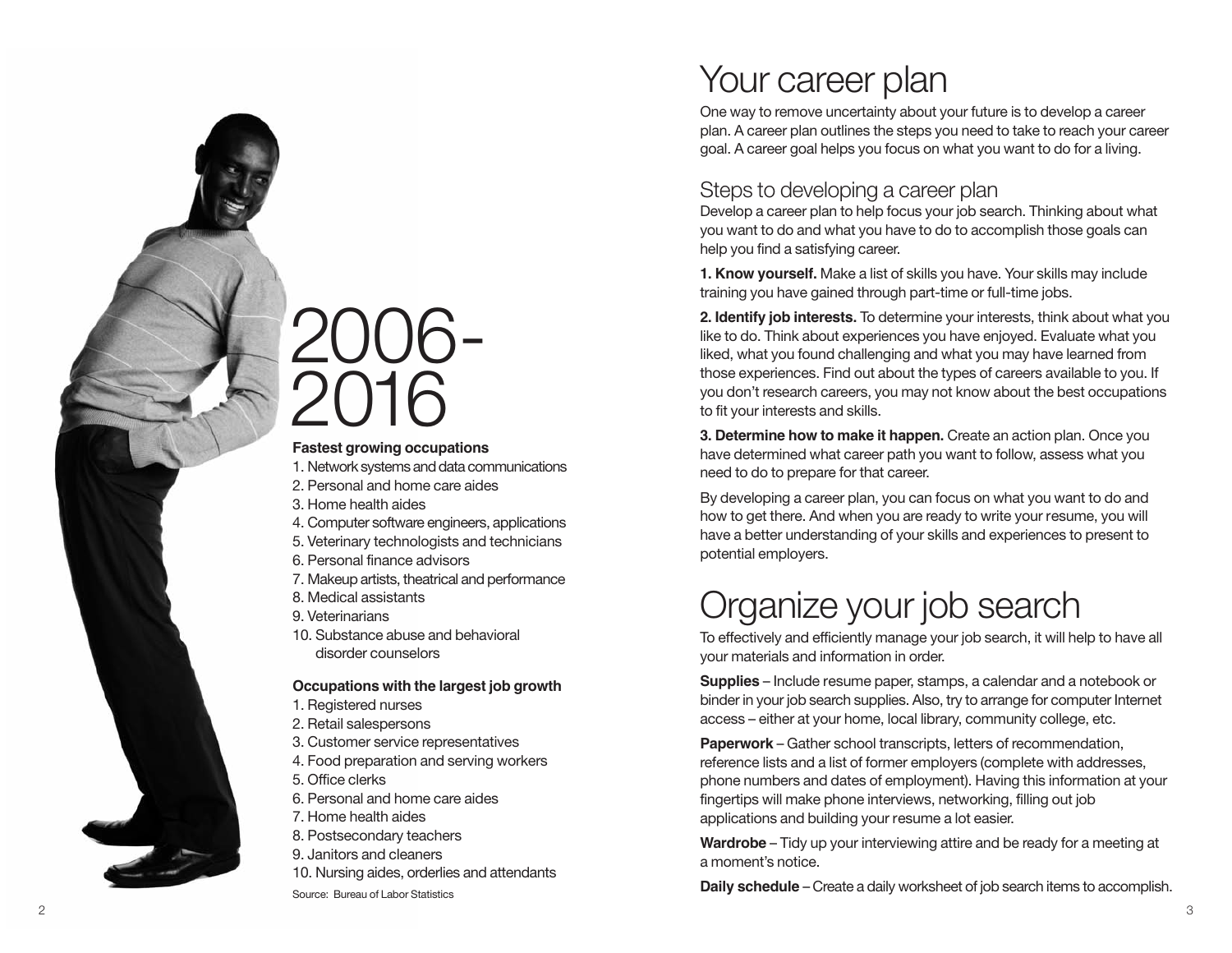# Your career plan

One way to remove uncertainty about your future is to develop a career plan. A career plan outlines the steps you need to take to reach your career goal. A career goal helps you focus on what you want to do for a living.

## Steps to developing a career plan

Develop a career plan to help focus your job search. Thinking about what you want to do and what you have to do to accomplish those goals can help you find a satisfying career.

**1. Know yourself.** Make a list of skills you have. Your skills may include training you have gained through part-time or full-time jobs.

**2. Identify job interests.** To determine your interests, think about what you like to do. Think about experiences you have enjoyed. Evaluate what you liked, what you found challenging and what you may have learned from those experiences. Find out about the types of careers available to you. If you don't research careers, you may not know about the best occupations to fit your interests and skills.

**3. Determine how to make it happen.** Create an action plan. Once you have determined what career path you want to follow, assess what you need to do to prepare for that career.

By developing a career plan, you can focus on what you want to do and how to get there. And when you are ready to write your resume, you will have a better understanding of your skills and experiences to present to potential employers.

# Organize your job search

To effectively and efficiently manage your job search, it will help to have all your materials and information in order.

**Supplies** – Include resume paper, stamps, a calendar and a notebook or binder in your job search supplies. Also, try to arrange for computer Internet access – either at your home, local library, community college, etc.

**Paperwork** – Gather school transcripts, letters of recommendation, reference lists and a list of former employers (complete with addresses, phone numbers and dates of employment). Having this information at your fingertips will make phone interviews, networking, filling out job applications and building your resume a lot easier.

**Wardrobe** – Tidy up your interviewing attire and be ready for a meeting at a moment's notice.

**Daily schedule** – Create a daily worksheet of job search items to accomplish.

# 2006- 2016

### **Fastest growing occupations**

- 1. Network systems and data communications
- 2. Personal and home care aides
- 3. Home health aides
- 4. Computer software engineers, applications
- 5. Veterinary technologists and technicians
- 6. Personal finance advisors
- 7. Makeup artists, theatrical and performance
- 8. Medical assistants
- 9. Veterinarians
- 10. Substance abuse and behavioral disorder counselors

### **Occupations with the largest job growth**

- 1. Registered nurses
- 2. Retail salespersons
- 3. Customer service representatives
- 4. Food preparation and serving workers
- 5. Office clerks
- 6. Personal and home care aides
- 7. Home health aides
- 8. Postsecondary teachers
- 9. Janitors and cleaners
- 10. Nursing aides, orderlies and attendants

Source: Bureau of Labor Statistics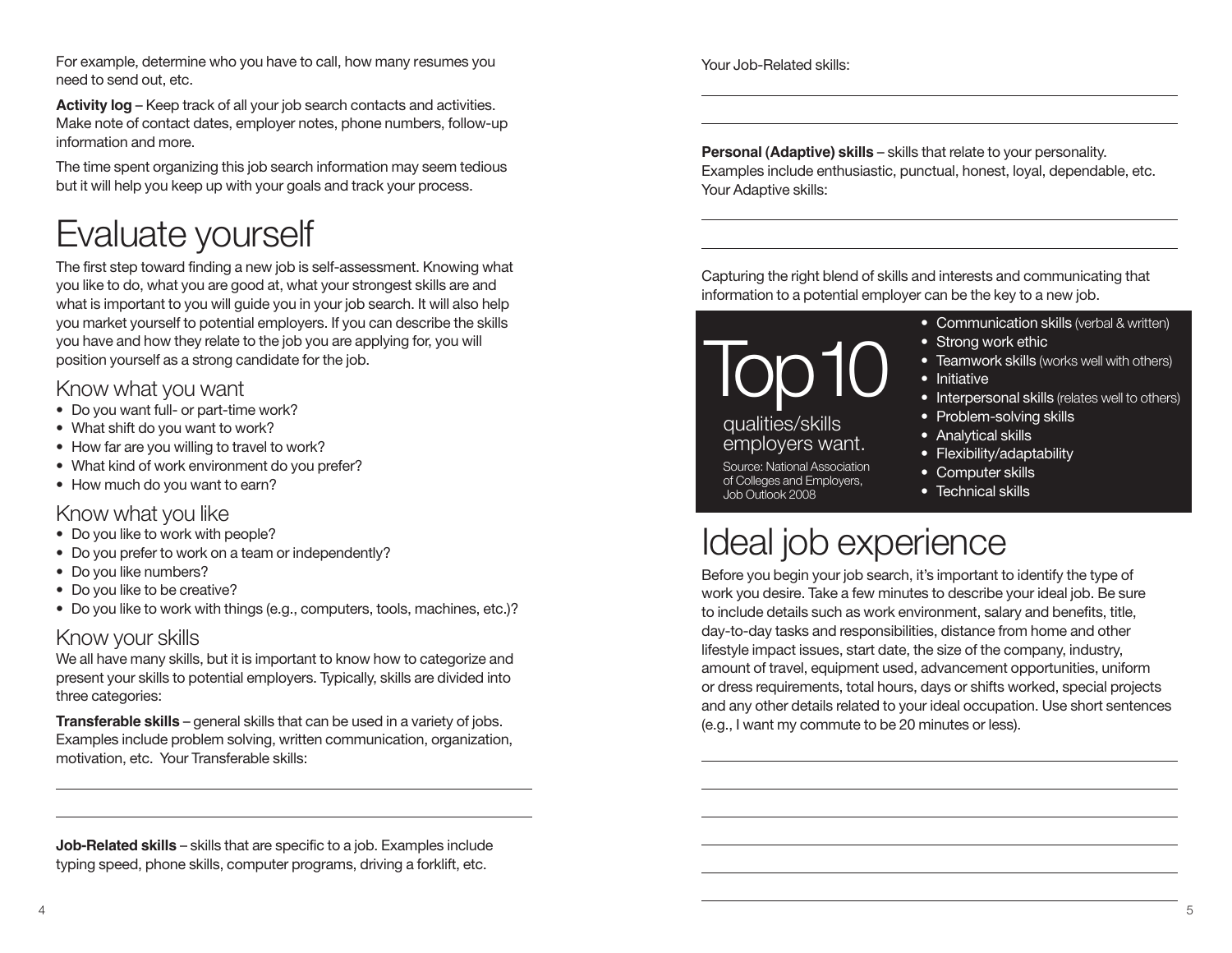For example, determine who you have to call, how many resumes you need to send out, etc.

**Activity log** – Keep track of all your job search contacts and activities. Make note of contact dates, employer notes, phone numbers, follow-up information and more.

The time spent organizing this job search information may seem tedious but it will help you keep up with your goals and track your process.

# Evaluate yourself

The first step toward finding a new job is self-assessment. Knowing what you like to do, what you are good at, what your strongest skills are and what is important to you will guide you in your job search. It will also help you market yourself to potential employers. If you can describe the skills you have and how they relate to the job you are applying for, you will position yourself as a strong candidate for the job.

## Know what you want

- Do you want full- or part-time work?
- What shift do you want to work?
- How far are you willing to travel to work?
- What kind of work environment do you prefer?
- How much do you want to earn?

### Know what you like

- Do you like to work with people?
- Do you prefer to work on a team or independently?
- Do you like numbers?
- Do you like to be creative?
- Do you like to work with things (e.g., computers, tools, machines, etc.)?

## Know your skills

We all have many skills, but it is important to know how to categorize and present your skills to potential employers. Typically, skills are divided into three categories:

**Transferable skills** – general skills that can be used in a variety of jobs. Examples include problem solving, written communication, organization, motivation, etc. Your Transferable skills:

**Job-Related skills** – skills that are specific to a job. Examples include typing speed, phone skills, computer programs, driving a forklift, etc.

Your Job-Related skills:

**Personal (Adaptive) skills** – skills that relate to your personality. Examples include enthusiastic, punctual, honest, loyal, dependable, etc. Your Adaptive skills:

Capturing the right blend of skills and interests and communicating that information to a potential employer can be the key to a new job.

 $100^1$ 

### qualities/skills employers want.

Source: National Association of Colleges and Employers, Job Outlook 2008

- Communication skills (verbal & written)
- Strong work ethic
- Teamwork skills (works well with others)
- Initiative
- Interpersonal skills (relates well to others)
- Problem-solving skills
- Analytical skills
- Flexibility/adaptability
- Computer skills
- Technical skills

# Ideal job experience

Before you begin your job search, it's important to identify the type of work you desire. Take a few minutes to describe your ideal job. Be sure to include details such as work environment, salary and benefits, title, day-to-day tasks and responsibilities, distance from home and other lifestyle impact issues, start date, the size of the company, industry, amount of travel, equipment used, advancement opportunities, uniform or dress requirements, total hours, days or shifts worked, special projects and any other details related to your ideal occupation. Use short sentences (e.g., I want my commute to be 20 minutes or less).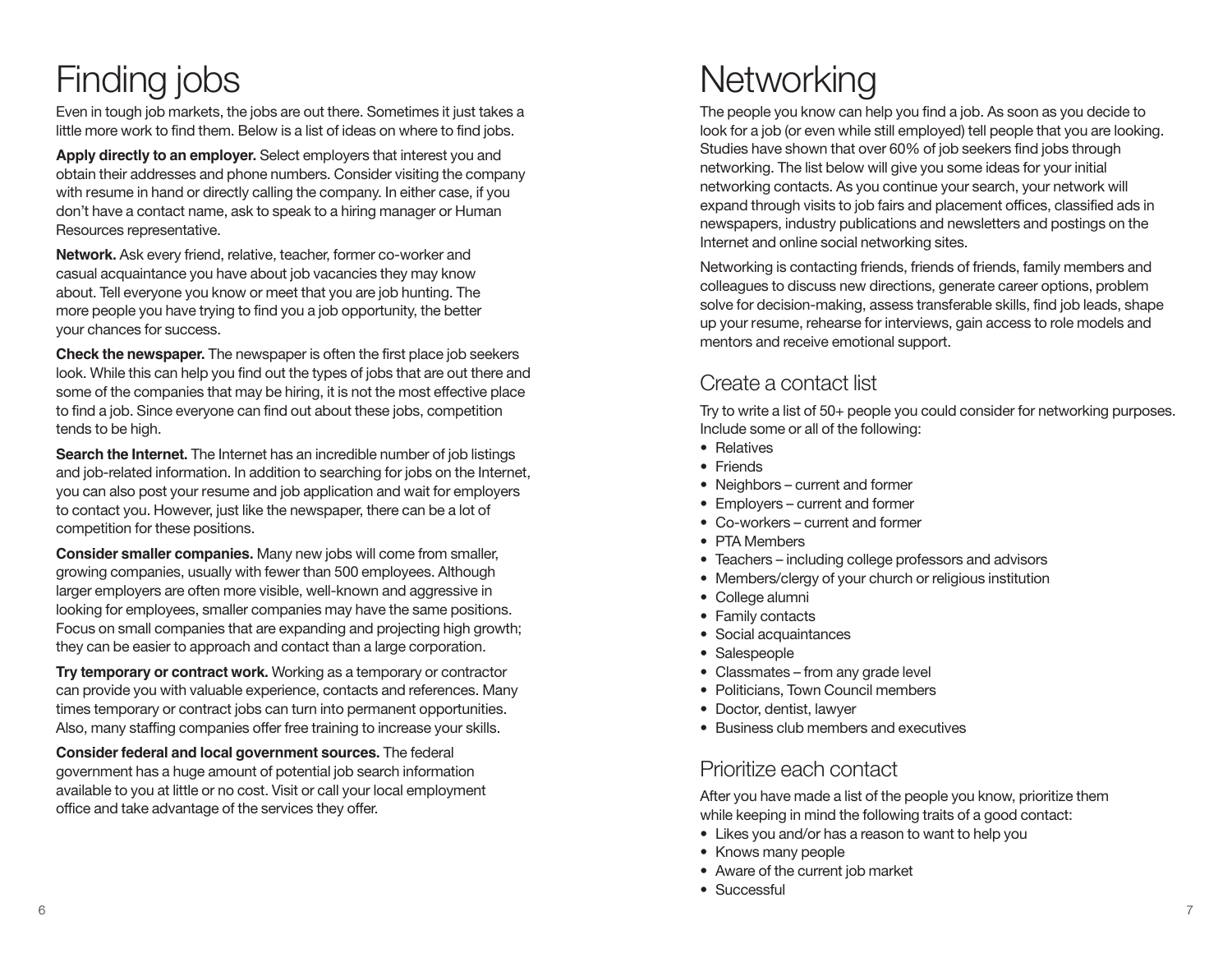# Finding jobs

Even in tough job markets, the jobs are out there. Sometimes it just takes a little more work to find them. Below is a list of ideas on where to find jobs.

**Apply directly to an employer.** Select employers that interest you and obtain their addresses and phone numbers. Consider visiting the company with resume in hand or directly calling the company. In either case, if you don't have a contact name, ask to speak to a hiring manager or Human Resources representative.

**Network.** Ask every friend, relative, teacher, former co-worker and casual acquaintance you have about job vacancies they may know about. Tell everyone you know or meet that you are job hunting. The more people you have trying to find you a job opportunity, the better your chances for success.

**Check the newspaper.** The newspaper is often the first place job seekers look. While this can help you find out the types of jobs that are out there and some of the companies that may be hiring, it is not the most effective place to find a job. Since everyone can find out about these jobs, competition tends to be high.

**Search the Internet.** The Internet has an incredible number of job listings and job-related information. In addition to searching for jobs on the Internet, you can also post your resume and job application and wait for employers to contact you. However, just like the newspaper, there can be a lot of competition for these positions.

**Consider smaller companies.** Many new jobs will come from smaller, growing companies, usually with fewer than 500 employees. Although larger employers are often more visible, well-known and aggressive in looking for employees, smaller companies may have the same positions. Focus on small companies that are expanding and projecting high growth; they can be easier to approach and contact than a large corporation.

**Try temporary or contract work.** Working as a temporary or contractor can provide you with valuable experience, contacts and references. Many times temporary or contract jobs can turn into permanent opportunities. Also, many staffing companies offer free training to increase your skills.

**Consider federal and local government sources.** The federal government has a huge amount of potential job search information available to you at little or no cost. Visit or call your local employment office and take advantage of the services they offer.

# **Networking**

The people you know can help you find a job. As soon as you decide to look for a job (or even while still employed) tell people that you are looking. Studies have shown that over 60% of job seekers find jobs through networking. The list below will give you some ideas for your initial networking contacts. As you continue your search, your network will expand through visits to job fairs and placement offices, classified ads in newspapers, industry publications and newsletters and postings on the Internet and online social networking sites.

Networking is contacting friends, friends of friends, family members and colleagues to discuss new directions, generate career options, problem solve for decision-making, assess transferable skills, find job leads, shape up your resume, rehearse for interviews, gain access to role models and mentors and receive emotional support.

# Create a contact list

Try to write a list of 50+ people you could consider for networking purposes. Include some or all of the following:

- Relatives
- Friends
- Neighbors current and former
- Employers current and former
- Co-workers current and former
- PTA Members
- Teachers including college professors and advisors
- Members/clergy of your church or religious institution
- College alumni
- Family contacts
- Social acquaintances
- Salespeople
- Classmates from any grade level
- Politicians, Town Council members
- Doctor, dentist, lawyer
- Business club members and executives

# Prioritize each contact

After you have made a list of the people you know, prioritize them while keeping in mind the following traits of a good contact:

- Likes you and/or has a reason to want to help you
- Knows many people
- Aware of the current job market
- Successful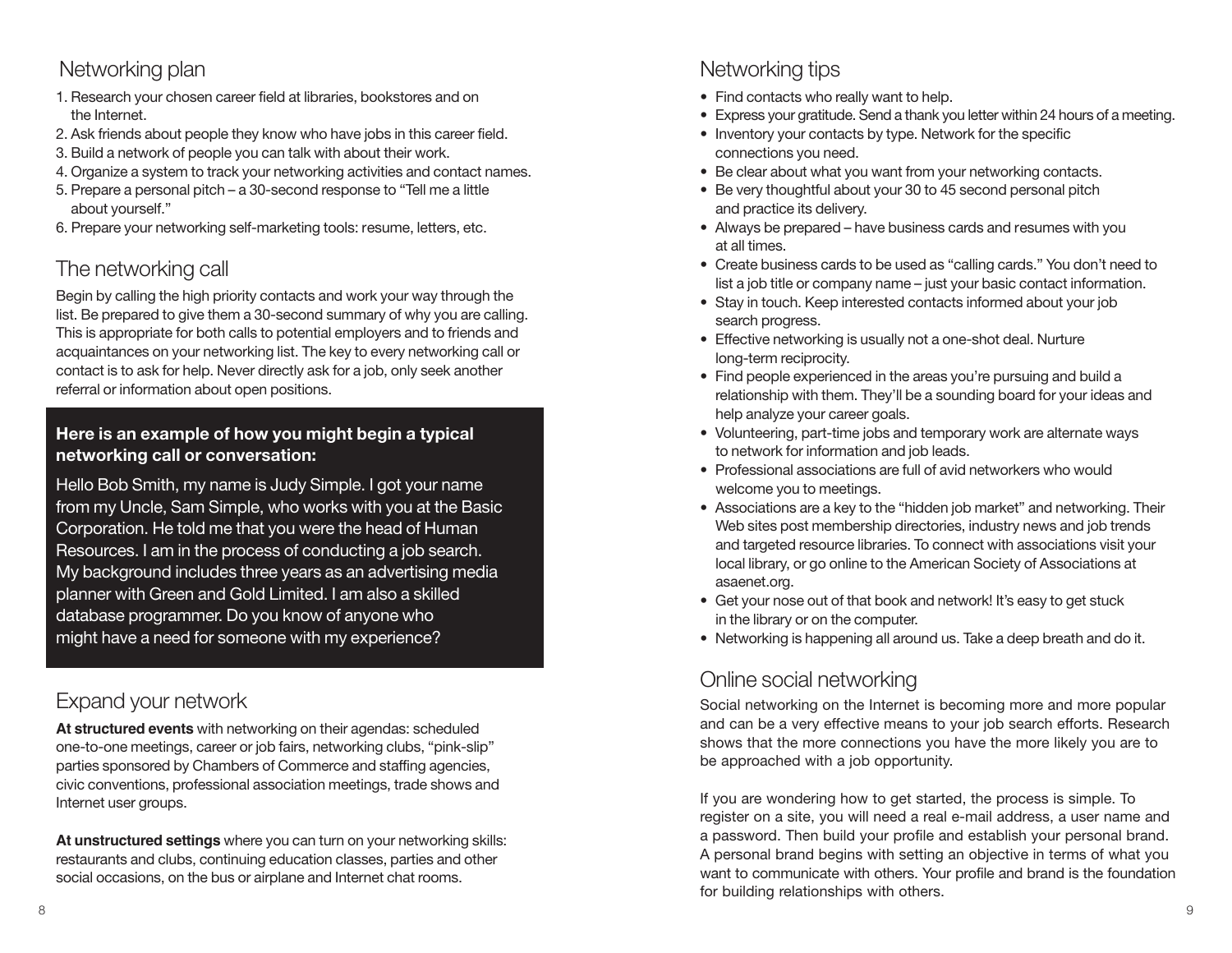# Networking plan

- 1. Research your chosen career field at libraries, bookstores and on the Internet.
- 2. Ask friends about people they know who have jobs in this career field.
- 3. Build a network of people you can talk with about their work.
- 4. Organize a system to track your networking activities and contact names.
- 5. Prepare a personal pitch a 30-second response to "Tell me a little about yourself."
- 6. Prepare your networking self-marketing tools: resume, letters, etc.

# The networking call

Begin by calling the high priority contacts and work your way through the list. Be prepared to give them a 30-second summary of why you are calling. This is appropriate for both calls to potential employers and to friends and acquaintances on your networking list. The key to every networking call or contact is to ask for help. Never directly ask for a job, only seek another referral or information about open positions.

### **Here is an example of how you might begin a typical networking call or conversation:**

Hello Bob Smith, my name is Judy Simple. I got your name from my Uncle, Sam Simple, who works with you at the Basic Corporation. He told me that you were the head of Human Resources. I am in the process of conducting a job search. My background includes three years as an advertising media planner with Green and Gold Limited. I am also a skilled database programmer. Do you know of anyone who might have a need for someone with my experience?

# Expand your network

**At structured events** with networking on their agendas: scheduled one-to-one meetings, career or job fairs, networking clubs, "pink-slip" parties sponsored by Chambers of Commerce and staffing agencies, civic conventions, professional association meetings, trade shows and Internet user groups.

**At unstructured settings** where you can turn on your networking skills: restaurants and clubs, continuing education classes, parties and other social occasions, on the bus or airplane and Internet chat rooms.

# Networking tips

- Find contacts who really want to help.
- Express your gratitude. Send a thank you letter within 24 hours of a meeting.
- Inventory your contacts by type. Network for the specific connections you need.
- Be clear about what you want from your networking contacts.
- Be very thoughtful about your 30 to 45 second personal pitch and practice its delivery.
- Always be prepared have business cards and resumes with you at all times.
- Create business cards to be used as "calling cards." You don't need to list a job title or company name – just your basic contact information.
- Stay in touch. Keep interested contacts informed about your job search progress.
- Effective networking is usually not a one-shot deal. Nurture long-term reciprocity.
- Find people experienced in the areas you're pursuing and build a relationship with them. They'll be a sounding board for your ideas and help analyze your career goals.
- Volunteering, part-time jobs and temporary work are alternate ways to network for information and job leads.
- Professional associations are full of avid networkers who would welcome you to meetings.
- Associations are a key to the "hidden job market" and networking. Their Web sites post membership directories, industry news and job trends and targeted resource libraries. To connect with associations visit your local library, or go online to the American Society of Associations at asaenet.org.
- Get your nose out of that book and network! It's easy to get stuck in the library or on the computer.
- Networking is happening all around us. Take a deep breath and do it.

# Online social networking

Social networking on the Internet is becoming more and more popular and can be a very effective means to your job search efforts. Research shows that the more connections you have the more likely you are to be approached with a job opportunity.

If you are wondering how to get started, the process is simple. To register on a site, you will need a real e-mail address, a user name and a password. Then build your profile and establish your personal brand. A personal brand begins with setting an objective in terms of what you want to communicate with others. Your profile and brand is the foundation for building relationships with others.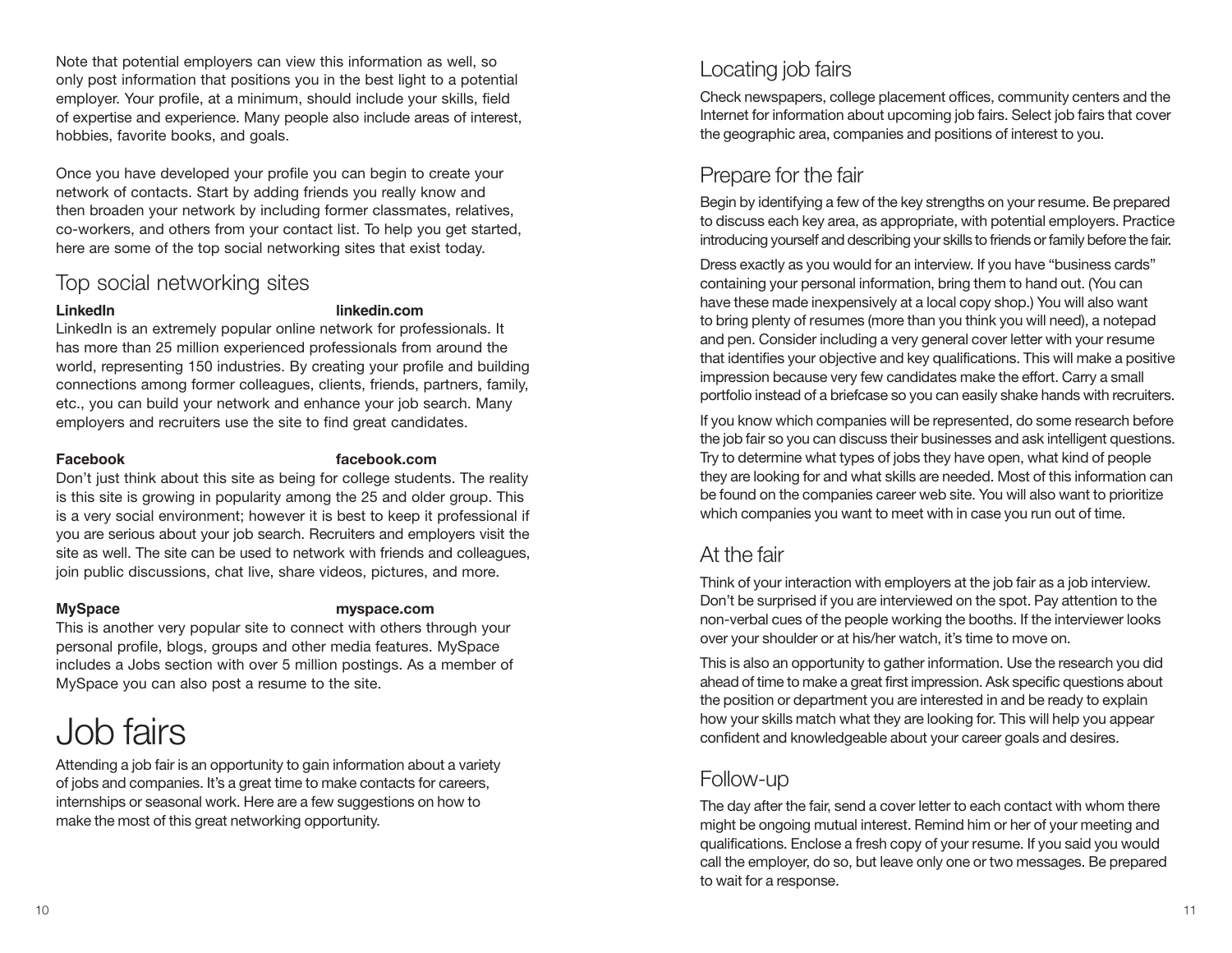Note that potential employers can view this information as well, so only post information that positions you in the best light to a potential employer. Your profile, at a minimum, should include your skills, field of expertise and experience. Many people also include areas of interest, hobbies, favorite books, and goals.

Once you have developed your profile you can begin to create your network of contacts. Start by adding friends you really know and then broaden your network by including former classmates, relatives, co-workers, and others from your contact list. To help you get started, here are some of the top social networking sites that exist today.

## Top social networking sites

#### **LinkedIn linkedin.com**

LinkedIn is an extremely popular online network for professionals. It has more than 25 million experienced professionals from around the world, representing 150 industries. By creating your profile and building connections among former colleagues, clients, friends, partners, family, etc., you can build your network and enhance your job search. Many employers and recruiters use the site to find great candidates.

### **Facebook facebook.com**

Don't just think about this site as being for college students. The reality is this site is growing in popularity among the 25 and older group. This is a very social environment; however it is best to keep it professional if you are serious about your job search. Recruiters and employers visit the site as well. The site can be used to network with friends and colleagues, join public discussions, chat live, share videos, pictures, and more.

### **MySpace myspace.com**

This is another very popular site to connect with others through your personal profile, blogs, groups and other media features. MySpace includes a Jobs section with over 5 million postings. As a member of MySpace you can also post a resume to the site.

# Job fairs

Attending a job fair is an opportunity to gain information about a variety of jobs and companies. It's a great time to make contacts for careers, internships or seasonal work. Here are a few suggestions on how to make the most of this great networking opportunity.

# Locating job fairs

Check newspapers, college placement offices, community centers and the Internet for information about upcoming job fairs. Select job fairs that cover the geographic area, companies and positions of interest to you.

# Prepare for the fair

Begin by identifying a few of the key strengths on your resume. Be prepared to discuss each key area, as appropriate, with potential employers. Practice introducing yourself and describing your skills to friends or family before the fair.

Dress exactly as you would for an interview. If you have "business cards" containing your personal information, bring them to hand out. (You can have these made inexpensively at a local copy shop.) You will also want to bring plenty of resumes (more than you think you will need), a notepad and pen. Consider including a very general cover letter with your resume that identifies your objective and key qualifications. This will make a positive impression because very few candidates make the effort. Carry a small portfolio instead of a briefcase so you can easily shake hands with recruiters.

If you know which companies will be represented, do some research before the job fair so you can discuss their businesses and ask intelligent questions. Try to determine what types of jobs they have open, what kind of people they are looking for and what skills are needed. Most of this information can be found on the companies career web site. You will also want to prioritize which companies you want to meet with in case you run out of time.

## At the fair

Think of your interaction with employers at the job fair as a job interview. Don't be surprised if you are interviewed on the spot. Pay attention to the non-verbal cues of the people working the booths. If the interviewer looks over your shoulder or at his/her watch, it's time to move on.

This is also an opportunity to gather information. Use the research you did ahead of time to make a great first impression. Ask specific questions about the position or department you are interested in and be ready to explain how your skills match what they are looking for. This will help you appear confident and knowledgeable about your career goals and desires.

# Follow-up

The day after the fair, send a cover letter to each contact with whom there might be ongoing mutual interest. Remind him or her of your meeting and qualifications. Enclose a fresh copy of your resume. If you said you would call the employer, do so, but leave only one or two messages. Be prepared to wait for a response.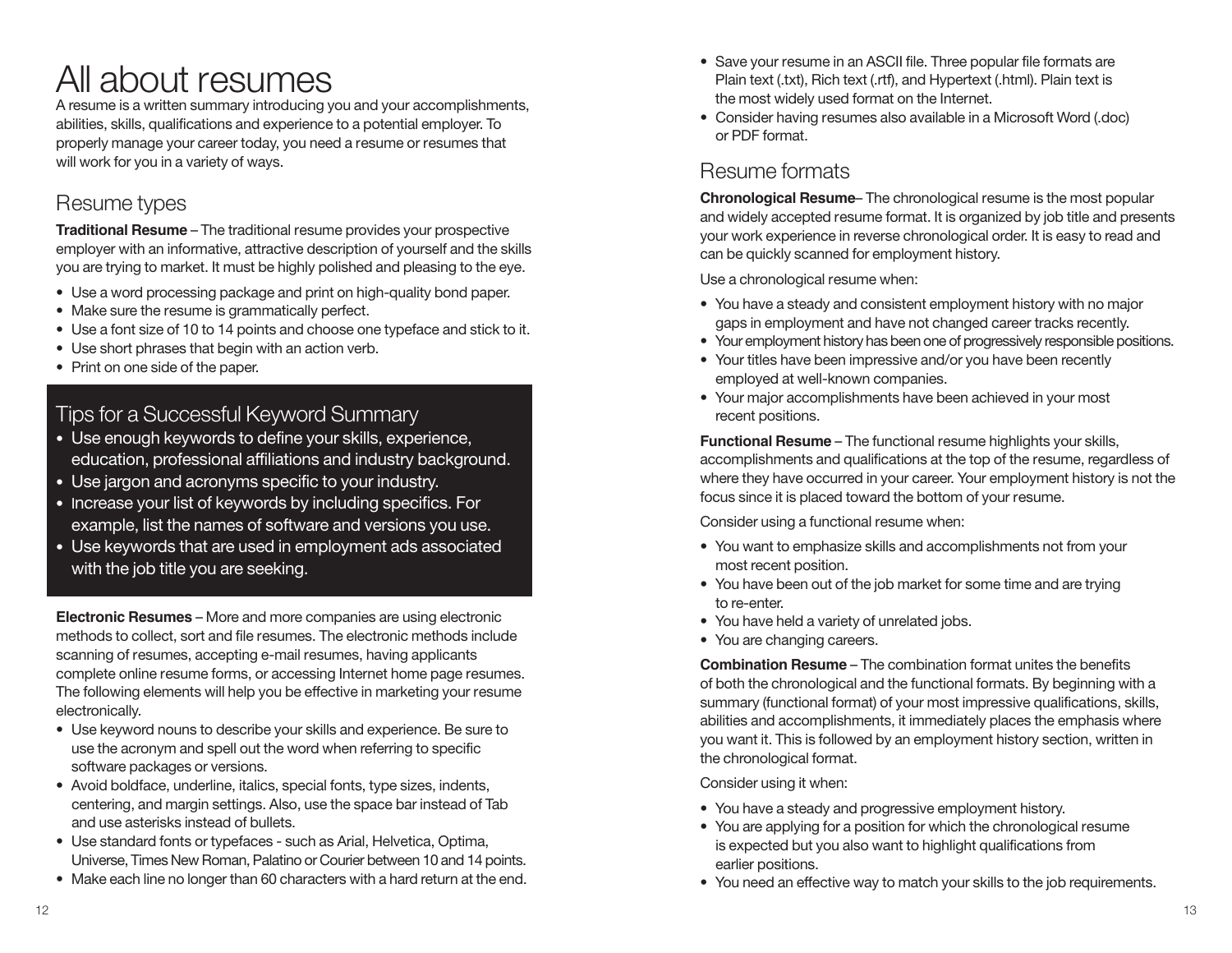# All about resumes

A resume is a written summary introducing you and your accomplishments, abilities, skills, qualifications and experience to a potential employer. To properly manage your career today, you need a resume or resumes that will work for you in a variety of ways.

# Resume types

**Traditional Resume** – The traditional resume provides your prospective employer with an informative, attractive description of yourself and the skills you are trying to market. It must be highly polished and pleasing to the eye.

- Use a word processing package and print on high-quality bond paper.
- Make sure the resume is grammatically perfect.
- Use a font size of 10 to 14 points and choose one typeface and stick to it.
- Use short phrases that begin with an action verb.
- Print on one side of the paper.

## Tips for a Successful Keyword Summary

- Use enough keywords to define your skills, experience, education, professional affiliations and industry background.
- Use jargon and acronyms specific to your industry.
- Increase your list of keywords by including specifics. For example, list the names of software and versions you use.
- Use keywords that are used in employment ads associated with the job title you are seeking.

**Electronic Resumes** – More and more companies are using electronic methods to collect, sort and file resumes. The electronic methods include scanning of resumes, accepting e-mail resumes, having applicants complete online resume forms, or accessing Internet home page resumes. The following elements will help you be effective in marketing your resume electronically.

- Use keyword nouns to describe your skills and experience. Be sure to use the acronym and spell out the word when referring to specific software packages or versions.
- Avoid boldface, underline, italics, special fonts, type sizes, indents, centering, and margin settings. Also, use the space bar instead of Tab and use asterisks instead of bullets.
- Use standard fonts or typefaces such as Arial, Helvetica, Optima, Universe, Times New Roman, Palatino or Courier between 10 and 14 points.
- Make each line no longer than 60 characters with a hard return at the end.
- Save your resume in an ASCII file. Three popular file formats are Plain text (.txt), Rich text (.rtf), and Hypertext (.html). Plain text is the most widely used format on the Internet.
- Consider having resumes also available in a Microsoft Word (.doc) or PDF format.

# Resume formats

**Chronological Resume**– The chronological resume is the most popular and widely accepted resume format. It is organized by job title and presents your work experience in reverse chronological order. It is easy to read and can be quickly scanned for employment history.

Use a chronological resume when:

- You have a steady and consistent employment history with no major gaps in employment and have not changed career tracks recently.
- Your employment history has been one of progressively responsible positions.
- Your titles have been impressive and/or you have been recently employed at well-known companies.
- Your major accomplishments have been achieved in your most recent positions.

**Functional Resume** – The functional resume highlights your skills, accomplishments and qualifications at the top of the resume, regardless of where they have occurred in your career. Your employment history is not the focus since it is placed toward the bottom of your resume.

Consider using a functional resume when:

- You want to emphasize skills and accomplishments not from your most recent position.
- You have been out of the job market for some time and are trying to re-enter.
- You have held a variety of unrelated jobs.
- You are changing careers.

**Combination Resume** – The combination format unites the benefits of both the chronological and the functional formats. By beginning with a summary (functional format) of your most impressive qualifications, skills, abilities and accomplishments, it immediately places the emphasis where you want it. This is followed by an employment history section, written in the chronological format.

Consider using it when:

- You have a steady and progressive employment history.
- You are applying for a position for which the chronological resume is expected but you also want to highlight qualifications from earlier positions.
- You need an effective way to match your skills to the job requirements.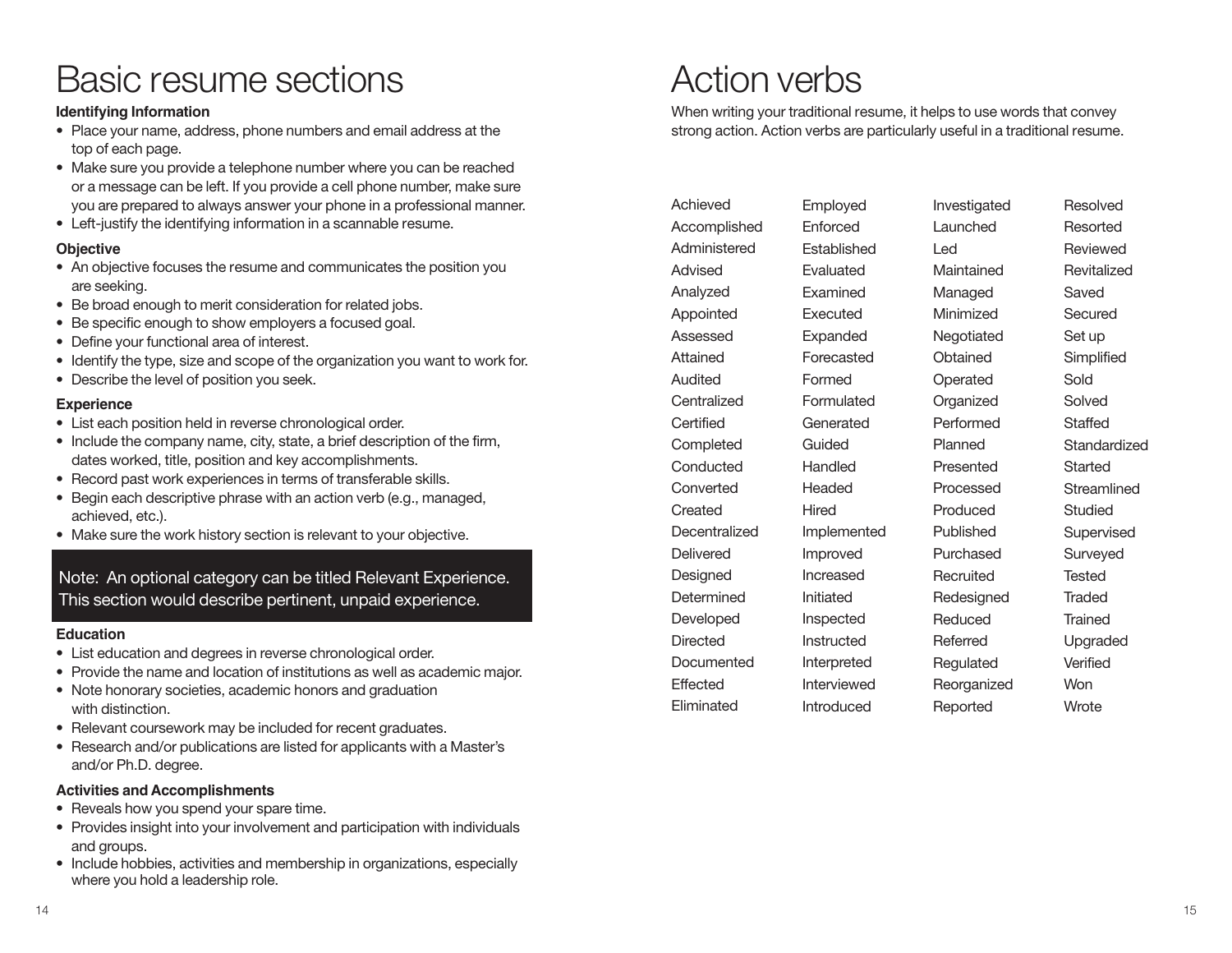# Basic resume sections

#### **Identifying Information**

- Place your name, address, phone numbers and email address at the top of each page.
- Make sure you provide a telephone number where you can be reached or a message can be left. If you provide a cell phone number, make sure you are prepared to always answer your phone in a professional manner.
- Left-justify the identifying information in a scannable resume.

#### **Objective**

- An objective focuses the resume and communicates the position you are seeking.
- Be broad enough to merit consideration for related jobs.
- Be specific enough to show employers a focused goal.
- Define your functional area of interest.
- Identify the type, size and scope of the organization you want to work for.
- Describe the level of position you seek.

#### **Experience**

- List each position held in reverse chronological order.
- Include the company name, city, state, a brief description of the firm, dates worked, title, position and key accomplishments.
- Record past work experiences in terms of transferable skills.
- Begin each descriptive phrase with an action verb (e.g., managed, achieved, etc.).
- Make sure the work history section is relevant to your objective.

### Note: An optional category can be titled Relevant Experience. This section would describe pertinent, unpaid experience.

#### **Education**

- List education and degrees in reverse chronological order.
- Provide the name and location of institutions as well as academic major.
- Note honorary societies, academic honors and graduation with distinction.
- Relevant coursework may be included for recent graduates.
- Research and/or publications are listed for applicants with a Master's and/or Ph.D. degree.

#### **Activities and Accomplishments**

- Reveals how you spend your spare time.
- Provides insight into your involvement and participation with individuals and groups.
- Include hobbies, activities and membership in organizations, especially where you hold a leadership role.

# Action verbs

When writing your traditional resume, it helps to use words that convey strong action. Action verbs are particularly useful in a traditional resume.

| Achieved        | Employed    | Investigat |
|-----------------|-------------|------------|
| Accomplished    | Enforced    | Launchec   |
| Administered    | Established | Led        |
| Advised         | Evaluated   | Maintaine  |
| Analyzed        | Examined    | Managed    |
| Appointed       | Executed    | Minimizeo  |
| Assessed        | Expanded    | Negotiate  |
| Attained        | Forecasted  | Obtained   |
| Audited         | Formed      | Operated   |
| Centralized     | Formulated  | Organized  |
| Certified       | Generated   | Performe   |
| Completed       | Guided      | Planned    |
| Conducted       | Handled     | Presented  |
| Converted       | Headed      | Processe   |
| Created         | Hired       | Produced   |
| Decentralized   | Implemented | Publishec  |
| Delivered       | Improved    | Purchase   |
| Designed        | Increased   | Recruited  |
| Determined      | Initiated   | Redesign   |
| Developed       | Inspected   | Reduced    |
| <b>Directed</b> | Instructed  | Referred   |
| Documented      | Interpreted | Regulated  |
| Effected        | Interviewed | Reorganiz  |
| Eliminated      | Introduced  | Reported   |

stigated ched tained aged nized heit ined ated nized Performed here Processed uced shed hased uited signed ıced red Regulated ganized Resolved Resorted Reviewed Revitalized Saved **Secured** Set up **Simplified** Sold Solved Staffed **Standardized** Started **Streamlined** Studied Supervised Surveyed **Tested Traded Trained** Upgraded Verified **Won Wrote**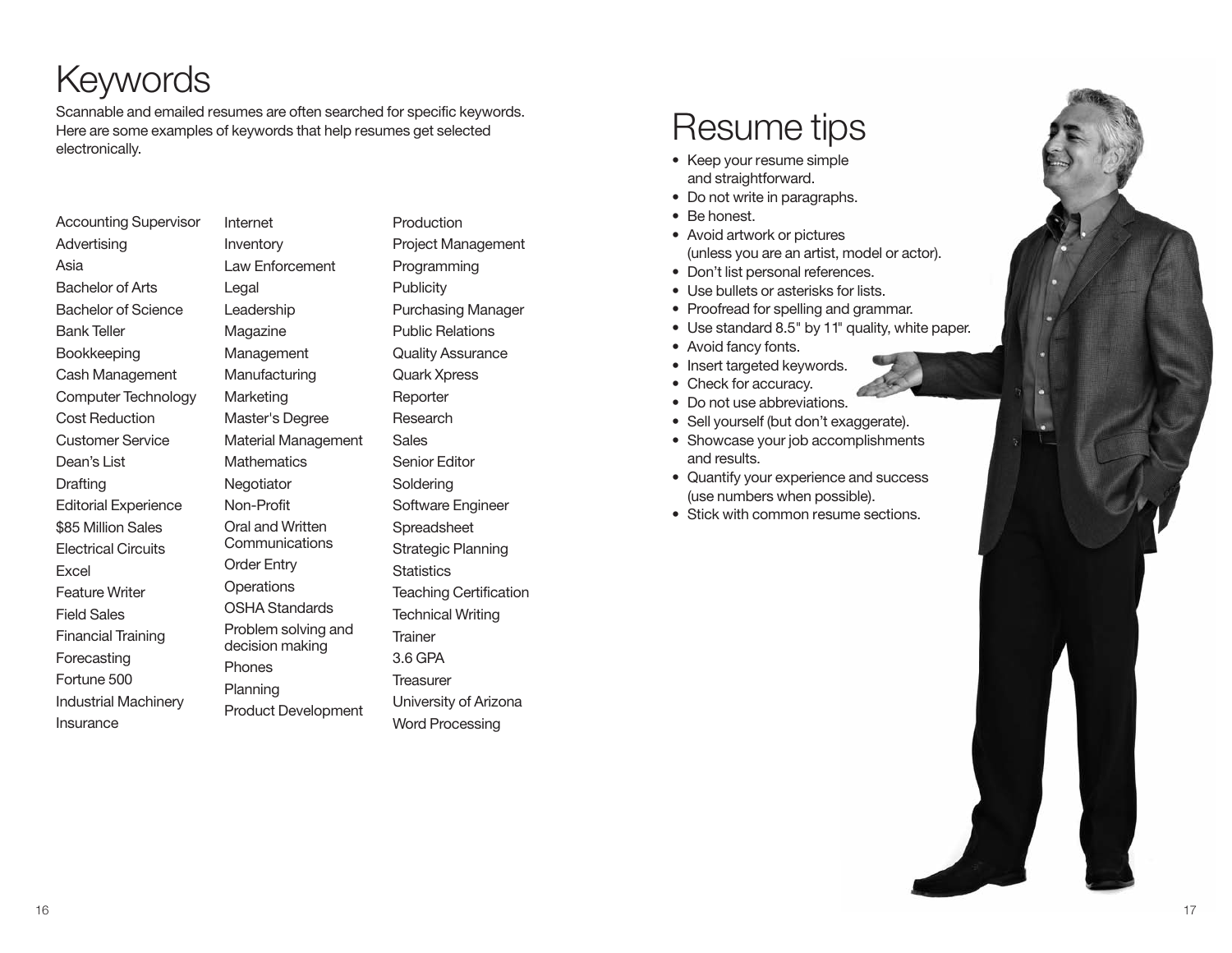# **Keywords**

Scannable and emailed resumes are often searched for specific keywords. Here are some examples of keywords that help resumes get selected electronically.

| <b>Accounting Supervisor</b> |  |  |
|------------------------------|--|--|
| Advertising                  |  |  |
| Asia                         |  |  |
| <b>Bachelor of Arts</b>      |  |  |
| <b>Bachelor of Science</b>   |  |  |
| <b>Bank Teller</b>           |  |  |
| Bookkeeping                  |  |  |
| Cash Management              |  |  |
| Computer Technology          |  |  |
| <b>Cost Reduction</b>        |  |  |
| <b>Customer Service</b>      |  |  |
| Dean's List                  |  |  |
| Drafting                     |  |  |
| <b>Editorial Experience</b>  |  |  |
| \$85 Million Sales           |  |  |
| <b>Electrical Circuits</b>   |  |  |
| Excel                        |  |  |
| <b>Feature Writer</b>        |  |  |
| <b>Field Sales</b>           |  |  |
| <b>Financial Training</b>    |  |  |
| Forecasting                  |  |  |
| Fortune 500                  |  |  |
| <b>Industrial Machinery</b>  |  |  |
| Insurance                    |  |  |

Internet Inventory Law Enforcement Legal Leadership Magazine Management Manufacturing **Marketing** Master's Degree Material Management **Mathematics Negotiator** Non-Profit Oral and Written Communications Order Entry **Operations** OSHA Standards Problem solving and decision making Phones Planning Product Development **Sales Trainer** 

Production Project Management Programming **Publicity** Purchasing Manager Public Relations Quality Assurance Quark Xpress Reporter Research Senior Editor Soldering Software Engineer **Spreadsheet** Strategic Planning **Statistics** Teaching Certification Technical Writing 3.6 GPA **Treasurer** University of Arizona

Word Processing

# Resume tips

- Keep your resume simple and straightforward.
- Do not write in paragraphs.
- Be honest.
- Avoid artwork or pictures (unless you are an artist, model or actor).

Maintained

Reported **Resolved** Resorted Revitalized **Saved** 

Standardized and the standard Studied Supervised Surveyed and the contract of

Minimized

Operated

Planned Presented Processed Produced a literature Published Purchased Recruited Reduced Referred Regulated Reorganized

- Don't list personal references.
- Use bullets or asterisks for lists.
- Proofread for spelling and grammar.
- Use standard 8.5" by 11" quality, white paper. Negotiated
- Avoid fancy fonts.
- Insert targeted keywords. Generated
- Check for accuracy.
- Do not use abbreviations.
- Sell yourself (but don't exaggerate).
- Showcase your job accomplishments and results.
- Quantify your experience and success Determined Increased (use numbers when possible).
- Stick with common resume sections.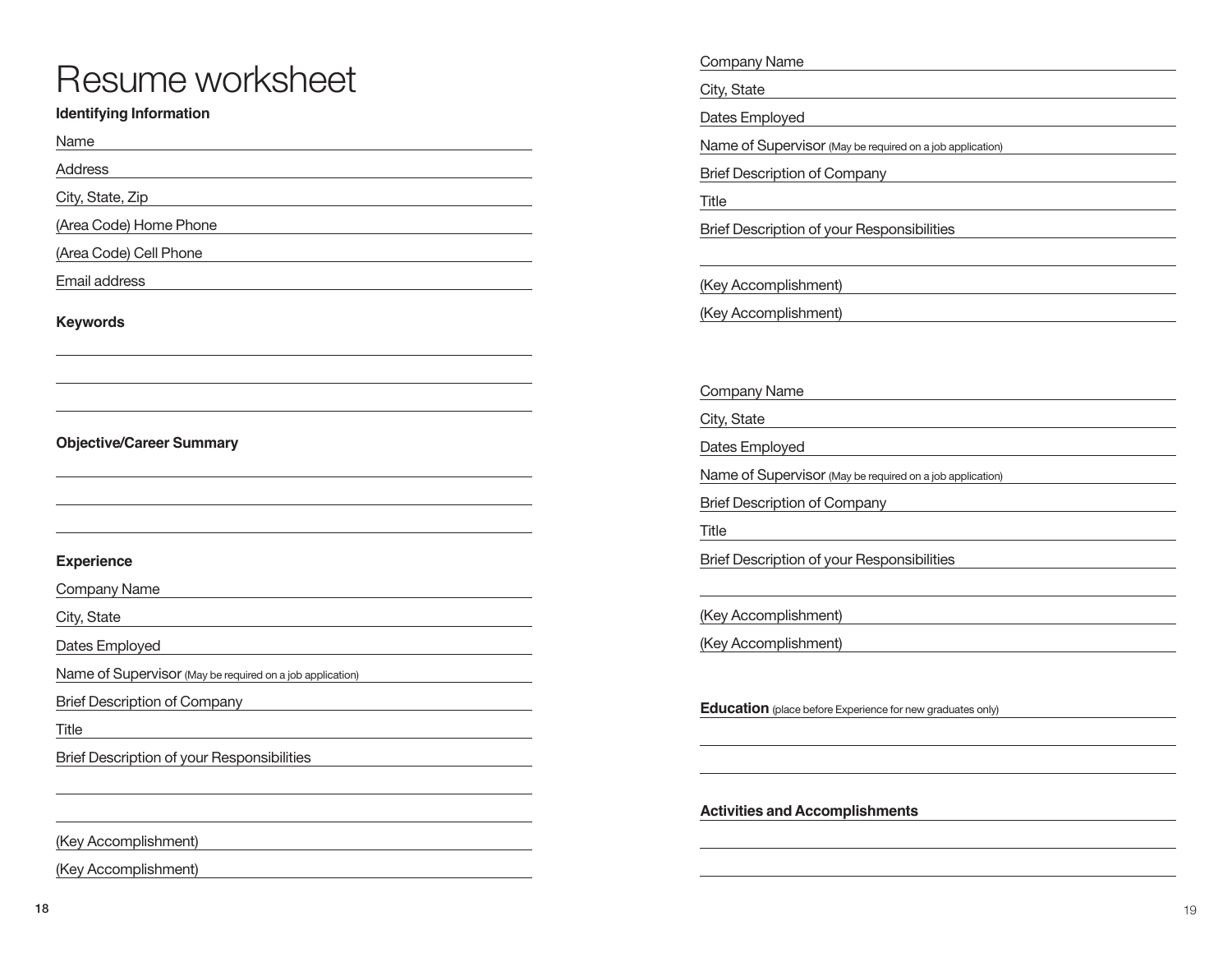# Resume worksheet

### **Identifying Information**

Name

Address

City, State, Zip

(Area Code) Home Phone

(Area Code) Cell Phone

Email address

**Keywords**

### **Objective/Career Summary**

#### **Experience**

Company Name

City, State

Dates Employed

Name of Supervisor (May be required on a job application)

Brief Description of Company

Title

Brief Description of your Responsibilities

(Key Accomplishment)

(Key Accomplishment)

Company Name

City, State

Dates Employed

Name of Supervisor (May be required on a job application)

Brief Description of Company

Title

Brief Description of your Responsibilities

(Key Accomplishment)

(Key Accomplishment)

Company Name

City, State

Dates Employed

Name of Supervisor (May be required on a job application)

Brief Description of Company

Title

Brief Description of your Responsibilities

(Key Accomplishment)

(Key Accomplishment)

**Education** (place before Experience for new graduates only)

**Activities and Accomplishments**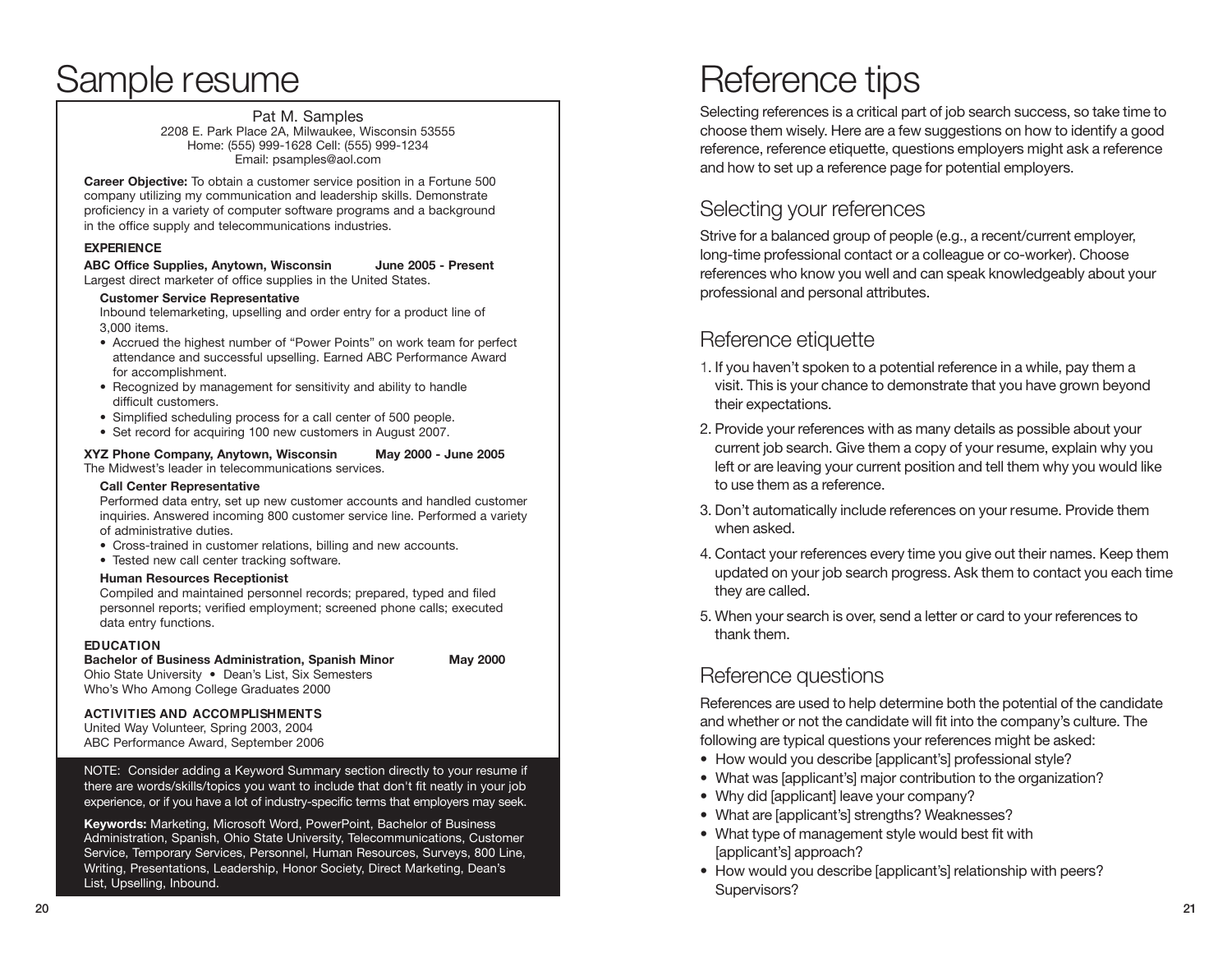# Sample resume

Pat M. Samples 2208 E. Park Place 2A, Milwaukee, Wisconsin 53555 Home: (555) 999-1628 Cell: (555) 999-1234 Email: psamples@aol.com

**Career Objective:** To obtain a customer service position in a Fortune 500 company utilizing my communication and leadership skills. Demonstrate proficiency in a variety of computer software programs and a background in the office supply and telecommunications industries.

#### **EXPERIENCE**

**ABC Office Supplies, Anytown, Wisconsin June 2005 - Present** Largest direct marketer of office supplies in the United States.

#### **Customer Service Representative**

Inbound telemarketing, upselling and order entry for a product line of 3,000 items.

- Accrued the highest number of "Power Points" on work team for perfect attendance and successful upselling. Earned ABC Performance Award for accomplishment.
- Recognized by management for sensitivity and ability to handle difficult customers.
- Simplified scheduling process for a call center of 500 people.
- Set record for acquiring 100 new customers in August 2007.

#### **XYZ Phone Company, Anytown, Wisconsin May 2000 - June 2005**

The Midwest's leader in telecommunications services.

#### **Call Center Representative**

Performed data entry, set up new customer accounts and handled customer inquiries. Answered incoming 800 customer service line. Performed a variety of administrative duties.

- Cross-trained in customer relations, billing and new accounts.
- Tested new call center tracking software.

#### **Human Resources Receptionist**

Compiled and maintained personnel records; prepared, typed and filed personnel reports; verified employment; screened phone calls; executed data entry functions.

#### **EDUCATION**

**Bachelor of Business Administration, Spanish Minor May 2000** Ohio State University • Dean's List, Six Semesters Who's Who Among College Graduates 2000

#### **ACTIVITIES AND ACCOMPLISHMENTS**

United Way Volunteer, Spring 2003, 2004 ABC Performance Award, September 2006

NOTE: Consider adding a Keyword Summary section directly to your resume if there are words/skills/topics you want to include that don't fit neatly in your job experience, or if you have a lot of industry-specific terms that employers may seek.

**Keywords:** Marketing, Microsoft Word, PowerPoint, Bachelor of Business Administration, Spanish, Ohio State University, Telecommunications, Customer Service, Temporary Services, Personnel, Human Resources, Surveys, 800 Line, Writing, Presentations, Leadership, Honor Society, Direct Marketing, Dean's List, Upselling, Inbound.

# Reference tips

Selecting references is a critical part of job search success, so take time to choose them wisely. Here are a few suggestions on how to identify a good reference, reference etiquette, questions employers might ask a reference and how to set up a reference page for potential employers.

## Selecting your references

Strive for a balanced group of people (e.g., a recent/current employer, long-time professional contact or a colleague or co-worker). Choose references who know you well and can speak knowledgeably about your professional and personal attributes.

## Reference etiquette

- 1. If you haven't spoken to a potential reference in a while, pay them a visit. This is your chance to demonstrate that you have grown beyond their expectations.
- 2. Provide your references with as many details as possible about your current job search. Give them a copy of your resume, explain why you left or are leaving your current position and tell them why you would like to use them as a reference.
- 3. Don't automatically include references on your resume. Provide them when asked.
- 4. Contact your references every time you give out their names. Keep them updated on your job search progress. Ask them to contact you each time they are called.
- 5. When your search is over, send a letter or card to your references to thank them.

## Reference questions

References are used to help determine both the potential of the candidate and whether or not the candidate will fit into the company's culture. The following are typical questions your references might be asked:

- How would you describe [applicant's] professional style?
- What was [applicant's] major contribution to the organization?
- Why did [applicant] leave your company?
- What are [applicant's] strengths? Weaknesses?
- What type of management style would best fit with [applicant's] approach?
- How would you describe [applicant's] relationship with peers? Supervisors?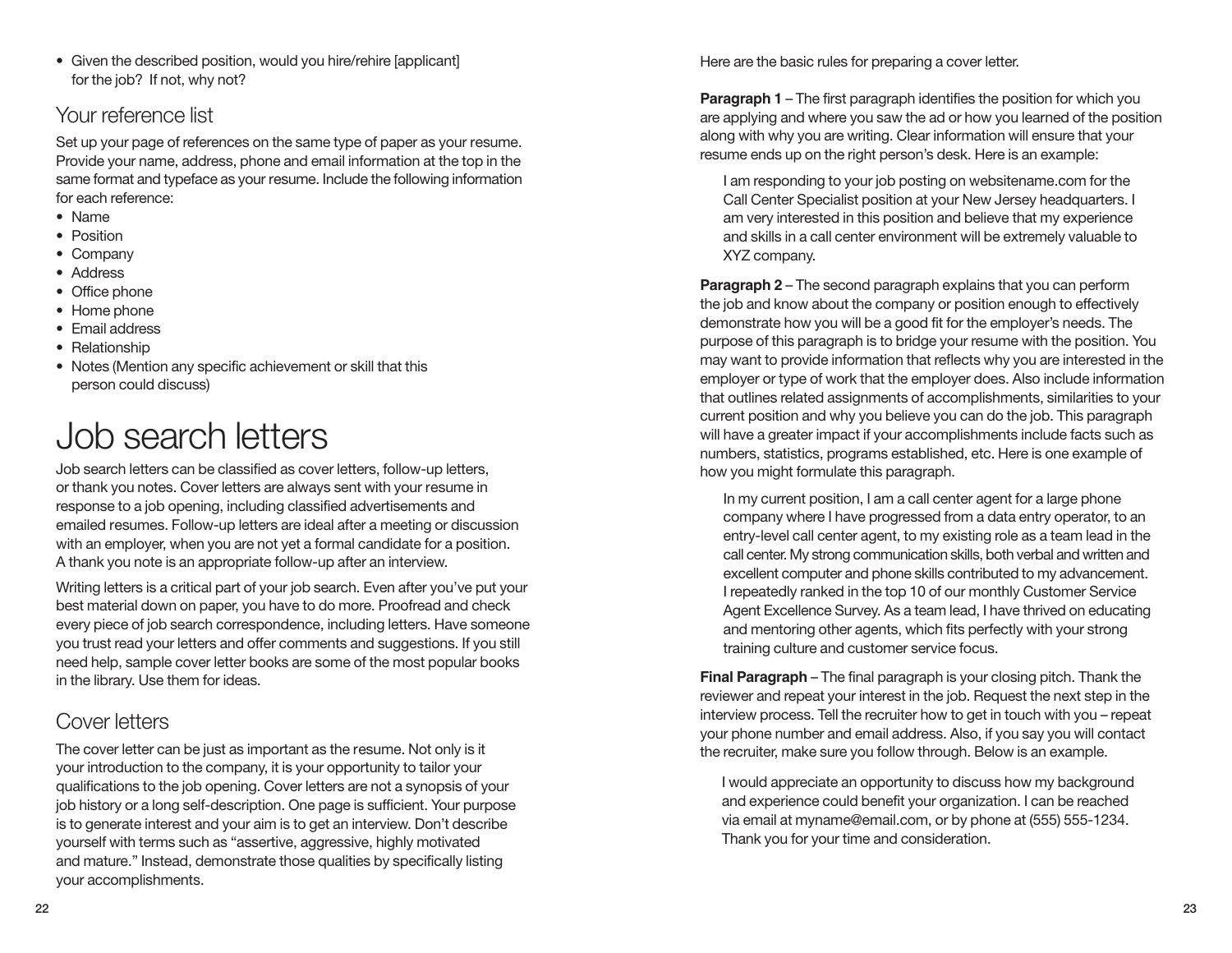# Your reference list

Set up your page of references on the same type of paper as your resume. Provide your name, address, phone and email information at the top in the same format and typeface as your resume. Include the following information for each reference:

- Name
- Position
- Company • Address
- Office phone
- Home phone
- Email address
- Relationship
- Notes (Mention any specific achievement or skill that this person could discuss)

# Job search letters

Job search letters can be classified as cover letters, follow-up letters, or thank you notes. Cover letters are always sent with your resume in response to a job opening, including classified advertisements and emailed resumes. Follow-up letters are ideal after a meeting or discussion with an employer, when you are not yet a formal candidate for a position. A thank you note is an appropriate follow-up after an interview.

Writing letters is a critical part of your job search. Even after you've put your best material down on paper, you have to do more. Proofread and check every piece of job search correspondence, including letters. Have someone you trust read your letters and offer comments and suggestions. If you still need help, sample cover letter books are some of the most popular books in the library. Use them for ideas.

# Cover letters

The cover letter can be just as important as the resume. Not only is it your introduction to the company, it is your opportunity to tailor your qualifications to the job opening. Cover letters are not a synopsis of your job history or a long self-description. One page is sufficient. Your purpose is to generate interest and your aim is to get an interview. Don't describe yourself with terms such as "assertive, aggressive, highly motivated and mature." Instead, demonstrate those qualities by specifically listing your accomplishments.

Here are the basic rules for preparing a cover letter.

**Paragraph 1** – The first paragraph identifies the position for which you are applying and where you saw the ad or how you learned of the position along with why you are writing. Clear information will ensure that your resume ends up on the right person's desk. Here is an example:

I am responding to your job posting on websitename.com for the Call Center Specialist position at your New Jersey headquarters. I am very interested in this position and believe that my experience and skills in a call center environment will be extremely valuable to XYZ company.

**Paragraph 2** – The second paragraph explains that you can perform the job and know about the company or position enough to effectively demonstrate how you will be a good fit for the employer's needs. The purpose of this paragraph is to bridge your resume with the position. You may want to provide information that reflects why you are interested in the employer or type of work that the employer does. Also include information that outlines related assignments of accomplishments, similarities to your current position and why you believe you can do the job. This paragraph will have a greater impact if your accomplishments include facts such as numbers, statistics, programs established, etc. Here is one example of how you might formulate this paragraph.

In my current position, I am a call center agent for a large phone company where I have progressed from a data entry operator, to an entry-level call center agent, to my existing role as a team lead in the call center. My strong communication skills, both verbal and written and excellent computer and phone skills contributed to my advancement. I repeatedly ranked in the top 10 of our monthly Customer Service Agent Excellence Survey. As a team lead, I have thrived on educating and mentoring other agents, which fits perfectly with your strong training culture and customer service focus.

**Final Paragraph** – The final paragraph is your closing pitch. Thank the reviewer and repeat your interest in the job. Request the next step in the interview process. Tell the recruiter how to get in touch with you – repeat your phone number and email address. Also, if you say you will contact the recruiter, make sure you follow through. Below is an example.

I would appreciate an opportunity to discuss how my background and experience could benefit your organization. I can be reached via email at myname@email.com, or by phone at (555) 555-1234. Thank you for your time and consideration.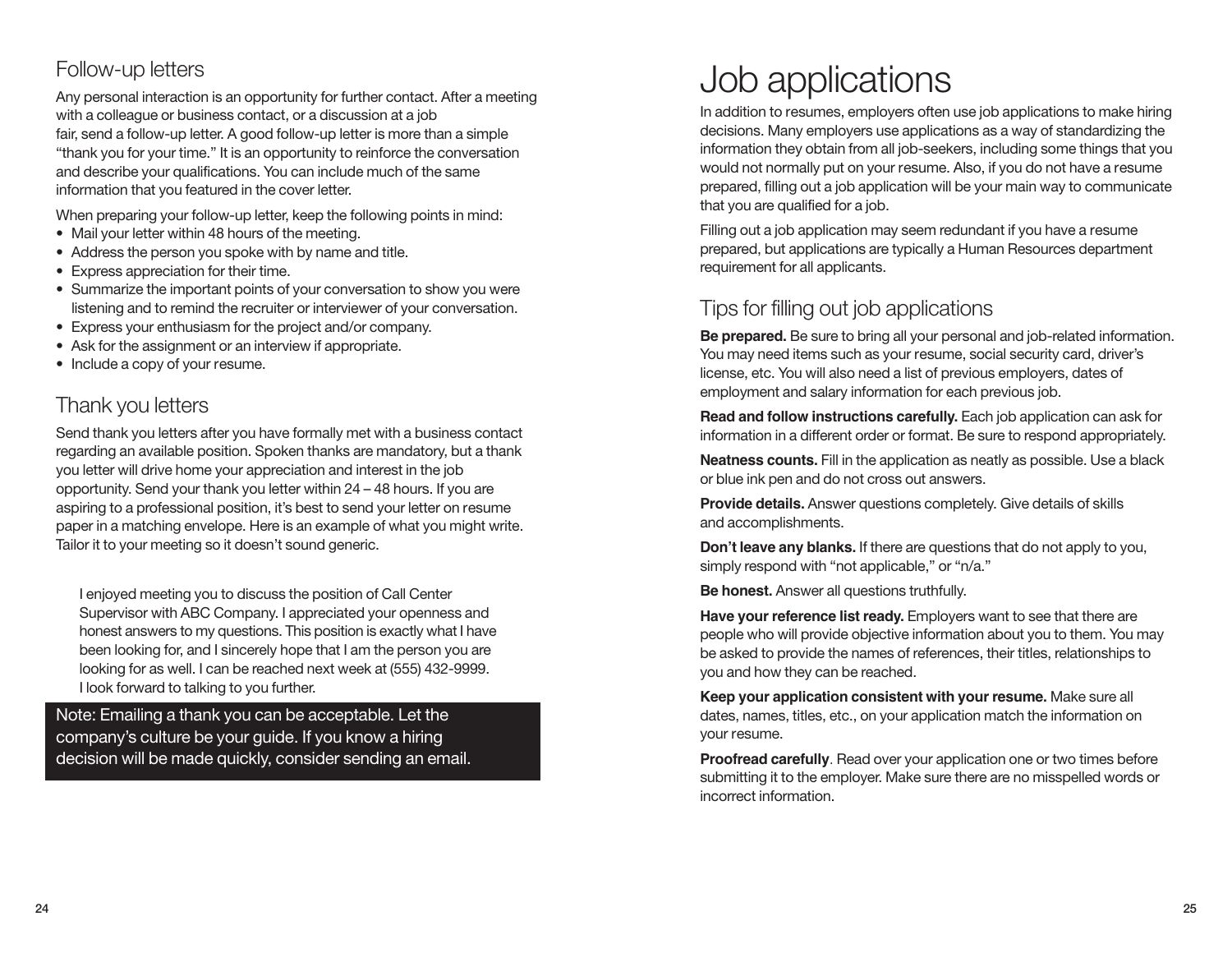# Follow-up letters

Any personal interaction is an opportunity for further contact. After a meeting with a colleague or business contact, or a discussion at a job fair, send a follow-up letter. A good follow-up letter is more than a simple "thank you for your time." It is an opportunity to reinforce the conversation and describe your qualifications. You can include much of the same information that you featured in the cover letter.

When preparing your follow-up letter, keep the following points in mind:

- Mail your letter within 48 hours of the meeting.
- Address the person you spoke with by name and title.
- Express appreciation for their time.
- Summarize the important points of your conversation to show you were listening and to remind the recruiter or interviewer of your conversation.
- Express your enthusiasm for the project and/or company.
- Ask for the assignment or an interview if appropriate.
- Include a copy of your resume.

# Thank you letters

Send thank you letters after you have formally met with a business contact regarding an available position. Spoken thanks are mandatory, but a thank you letter will drive home your appreciation and interest in the job opportunity. Send your thank you letter within 24 – 48 hours. If you are aspiring to a professional position, it's best to send your letter on resume paper in a matching envelope. Here is an example of what you might write. Tailor it to your meeting so it doesn't sound generic.

I enjoyed meeting you to discuss the position of Call Center Supervisor with ABC Company. I appreciated your openness and honest answers to my questions. This position is exactly what I have been looking for, and I sincerely hope that I am the person you are looking for as well. I can be reached next week at (555) 432-9999. I look forward to talking to you further.

Note: Emailing a thank you can be acceptable. Let the company's culture be your guide. If you know a hiring decision will be made quickly, consider sending an email.

# Job applications

In addition to resumes, employers often use job applications to make hiring decisions. Many employers use applications as a way of standardizing the information they obtain from all job-seekers, including some things that you would not normally put on your resume. Also, if you do not have a resume prepared, filling out a job application will be your main way to communicate that you are qualified for a job.

Filling out a job application may seem redundant if you have a resume prepared, but applications are typically a Human Resources department requirement for all applicants.

# Tips for filling out job applications

**Be prepared.** Be sure to bring all your personal and job-related information. You may need items such as your resume, social security card, driver's license, etc. You will also need a list of previous employers, dates of employment and salary information for each previous job.

**Read and follow instructions carefully.** Each job application can ask for information in a different order or format. Be sure to respond appropriately.

**Neatness counts.** Fill in the application as neatly as possible. Use a black or blue ink pen and do not cross out answers.

**Provide details.** Answer questions completely. Give details of skills and accomplishments.

**Don't leave any blanks.** If there are questions that do not apply to you, simply respond with "not applicable," or "n/a."

**Be honest.** Answer all questions truthfully.

**Have your reference list ready.** Employers want to see that there are people who will provide objective information about you to them. You may be asked to provide the names of references, their titles, relationships to you and how they can be reached.

**Keep your application consistent with your resume.** Make sure all dates, names, titles, etc., on your application match the information on your resume.

**Proofread carefully**. Read over your application one or two times before submitting it to the employer. Make sure there are no misspelled words or incorrect information.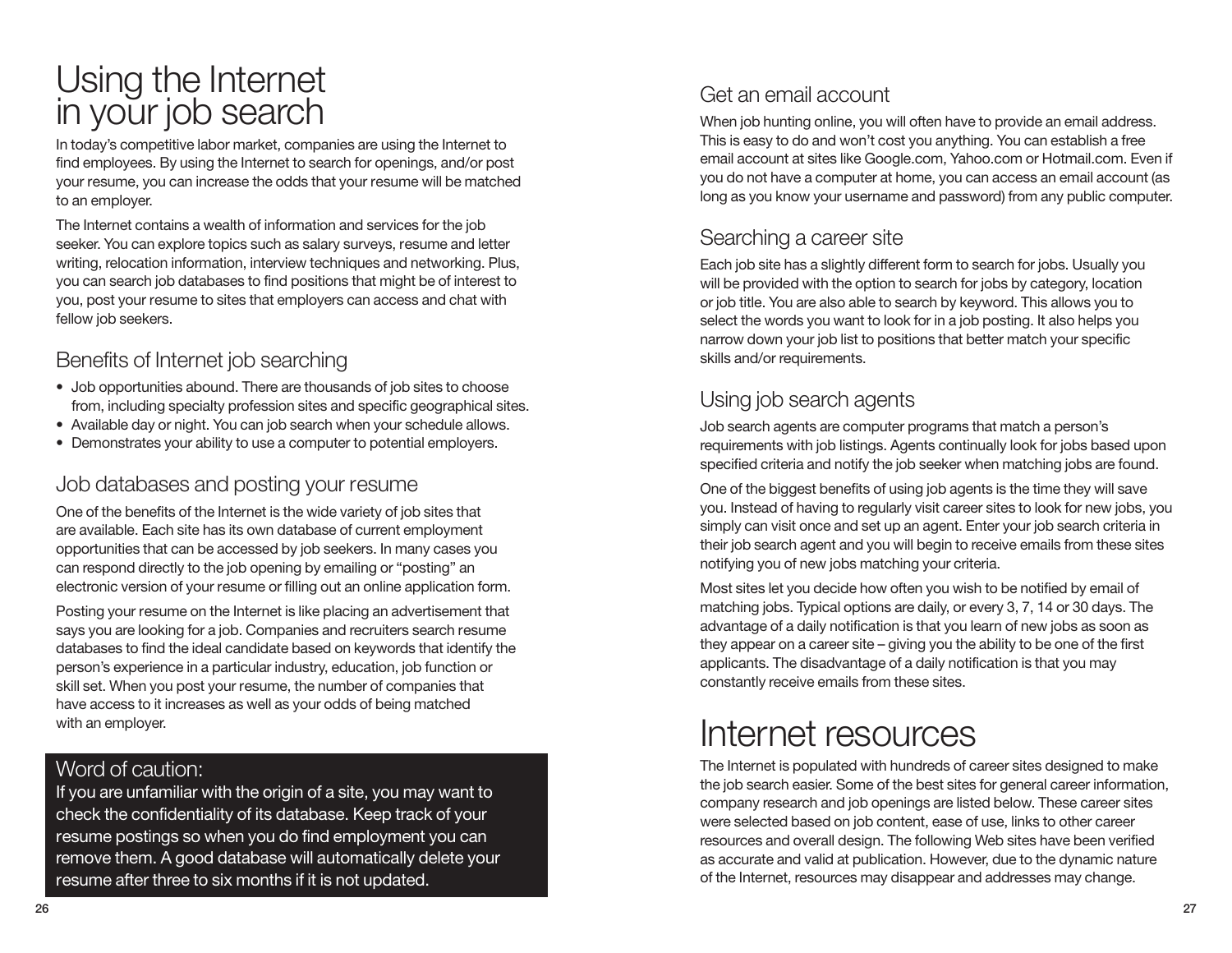# Using the Internet in your job search

In today's competitive labor market, companies are using the Internet to find employees. By using the Internet to search for openings, and/or post your resume, you can increase the odds that your resume will be matched to an employer.

The Internet contains a wealth of information and services for the job seeker. You can explore topics such as salary surveys, resume and letter writing, relocation information, interview techniques and networking. Plus, you can search job databases to find positions that might be of interest to you, post your resume to sites that employers can access and chat with fellow job seekers.

# Benefits of Internet job searching

- Job opportunities abound. There are thousands of job sites to choose from, including specialty profession sites and specific geographical sites.
- Available day or night. You can job search when your schedule allows.
- Demonstrates your ability to use a computer to potential employers.

# Job databases and posting your resume

One of the benefits of the Internet is the wide variety of job sites that are available. Each site has its own database of current employment opportunities that can be accessed by job seekers. In many cases you can respond directly to the job opening by emailing or "posting" an electronic version of your resume or filling out an online application form.

Posting your resume on the Internet is like placing an advertisement that says you are looking for a job. Companies and recruiters search resume databases to find the ideal candidate based on keywords that identify the person's experience in a particular industry, education, job function or skill set. When you post your resume, the number of companies that have access to it increases as well as your odds of being matched with an employer.

## Word of caution:

If you are unfamiliar with the origin of a site, you may want to check the confidentiality of its database. Keep track of your resume postings so when you do find employment you can remove them. A good database will automatically delete your resume after three to six months if it is not updated.

# Get an email account

When job hunting online, you will often have to provide an email address. This is easy to do and won't cost you anything. You can establish a free email account at sites like Google.com, Yahoo.com or Hotmail.com. Even if you do not have a computer at home, you can access an email account (as long as you know your username and password) from any public computer.

# Searching a career site

Each job site has a slightly different form to search for jobs. Usually you will be provided with the option to search for jobs by category, location or job title. You are also able to search by keyword. This allows you to select the words you want to look for in a job posting. It also helps you narrow down your job list to positions that better match your specific skills and/or requirements.

# Using job search agents

Job search agents are computer programs that match a person's requirements with job listings. Agents continually look for jobs based upon specified criteria and notify the job seeker when matching jobs are found.

One of the biggest benefits of using job agents is the time they will save you. Instead of having to regularly visit career sites to look for new jobs, you simply can visit once and set up an agent. Enter your job search criteria in their job search agent and you will begin to receive emails from these sites notifying you of new jobs matching your criteria.

Most sites let you decide how often you wish to be notified by email of matching jobs. Typical options are daily, or every 3, 7, 14 or 30 days. The advantage of a daily notification is that you learn of new jobs as soon as they appear on a career site – giving you the ability to be one of the first applicants. The disadvantage of a daily notification is that you may constantly receive emails from these sites.

# Internet resources

The Internet is populated with hundreds of career sites designed to make the job search easier. Some of the best sites for general career information, company research and job openings are listed below. These career sites were selected based on job content, ease of use, links to other career resources and overall design. The following Web sites have been verified as accurate and valid at publication. However, due to the dynamic nature of the Internet, resources may disappear and addresses may change.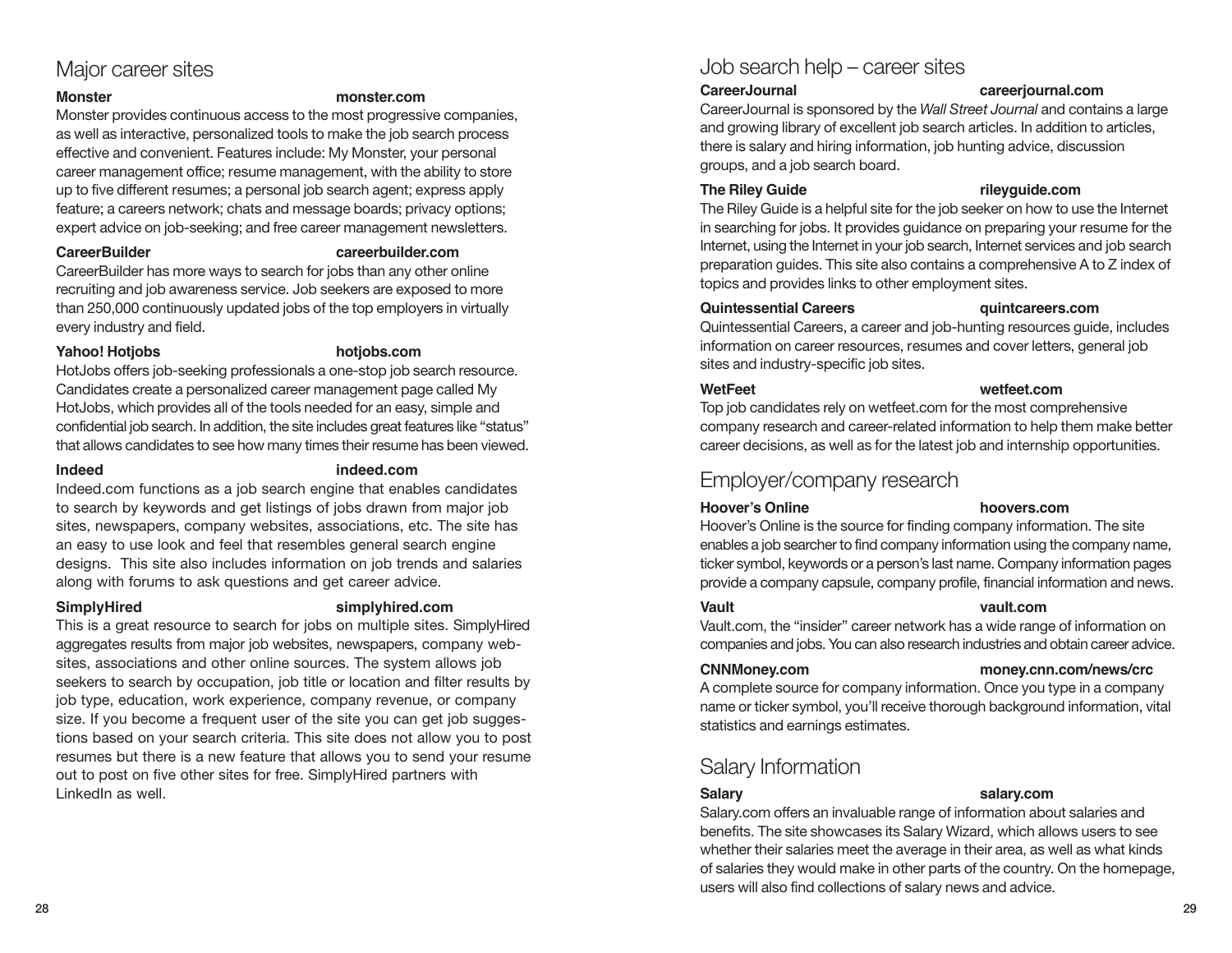## Major career sites

#### **Monster monster.com**

Monster provides continuous access to the most progressive companies, as well as interactive, personalized tools to make the job search process effective and convenient. Features include: My Monster, your personal career management office; resume management, with the ability to store up to five different resumes; a personal job search agent; express apply feature; a careers network; chats and message boards; privacy options; expert advice on job-seeking; and free career management newsletters.

#### **CareerBuilder careerbuilder.com**

CareerBuilder has more ways to search for jobs than any other online recruiting and job awareness service. Job seekers are exposed to more than 250,000 continuously updated jobs of the top employers in virtually every industry and field.

#### **Yahoo! Hotjobs hotjobs.com**

HotJobs offers job-seeking professionals a one-stop job search resource. Candidates create a personalized career management page called My HotJobs, which provides all of the tools needed for an easy, simple and confidential job search. In addition, the site includes great features like "status" that allows candidates to see how many times their resume has been viewed.

#### **Indeed indeed.com**

Indeed.com functions as a job search engine that enables candidates to search by keywords and get listings of jobs drawn from major job sites, newspapers, company websites, associations, etc. The site has an easy to use look and feel that resembles general search engine designs. This site also includes information on job trends and salaries along with forums to ask questions and get career advice.

#### **SimplyHired simplyhired.com**

This is a great resource to search for jobs on multiple sites. SimplyHired aggregates results from major job websites, newspapers, company websites, associations and other online sources. The system allows job seekers to search by occupation, job title or location and filter results by job type, education, work experience, company revenue, or company size. If you become a frequent user of the site you can get job suggestions based on your search criteria. This site does not allow you to post resumes but there is a new feature that allows you to send your resume out to post on five other sites for free. SimplyHired partners with LinkedIn as well.

## Job search help – career sites

#### **CareerJournal careerjournal.com**

CareerJournal is sponsored by the *Wall Street Journal* and contains a large and growing library of excellent job search articles. In addition to articles, there is salary and hiring information, job hunting advice, discussion groups, and a job search board.

#### **The Riley Guide rileyguide.com**

The Riley Guide is a helpful site for the job seeker on how to use the Internet in searching for jobs. It provides guidance on preparing your resume for the Internet, using the Internet in your job search, Internet services and job search preparation guides. This site also contains a comprehensive A to Z index of topics and provides links to other employment sites.

### **Quintessential Careers quintcareers.com**

Quintessential Careers, a career and job-hunting resources guide, includes information on career resources, resumes and cover letters, general job sites and industry-specific job sites.

#### **WetFeet wetfeet.com**

Top job candidates rely on wetfeet.com for the most comprehensive company research and career-related information to help them make better career decisions, as well as for the latest job and internship opportunities.

## Employer/company research

#### **Hoover's Online hoovers.com**

Hoover's Online is the source for finding company information. The site enables a job searcher to find company information using the company name, ticker symbol, keywords or a person's last name. Company information pages provide a company capsule, company profile, financial information and news.

### **Vault vault.com**

#### Vault.com, the "insider" career network has a wide range of information on companies and jobs. You can also research industries and obtain career advice.

#### **CNNMoney.com money.cnn.com/news/crc**

A complete source for company information. Once you type in a company name or ticker symbol, you'll receive thorough background information, vital statistics and earnings estimates.

# Salary Information

#### **Salary salary.com**

Salary.com offers an invaluable range of information about salaries and benefits. The site showcases its Salary Wizard, which allows users to see whether their salaries meet the average in their area, as well as what kinds of salaries they would make in other parts of the country. On the homepage, users will also find collections of salary news and advice.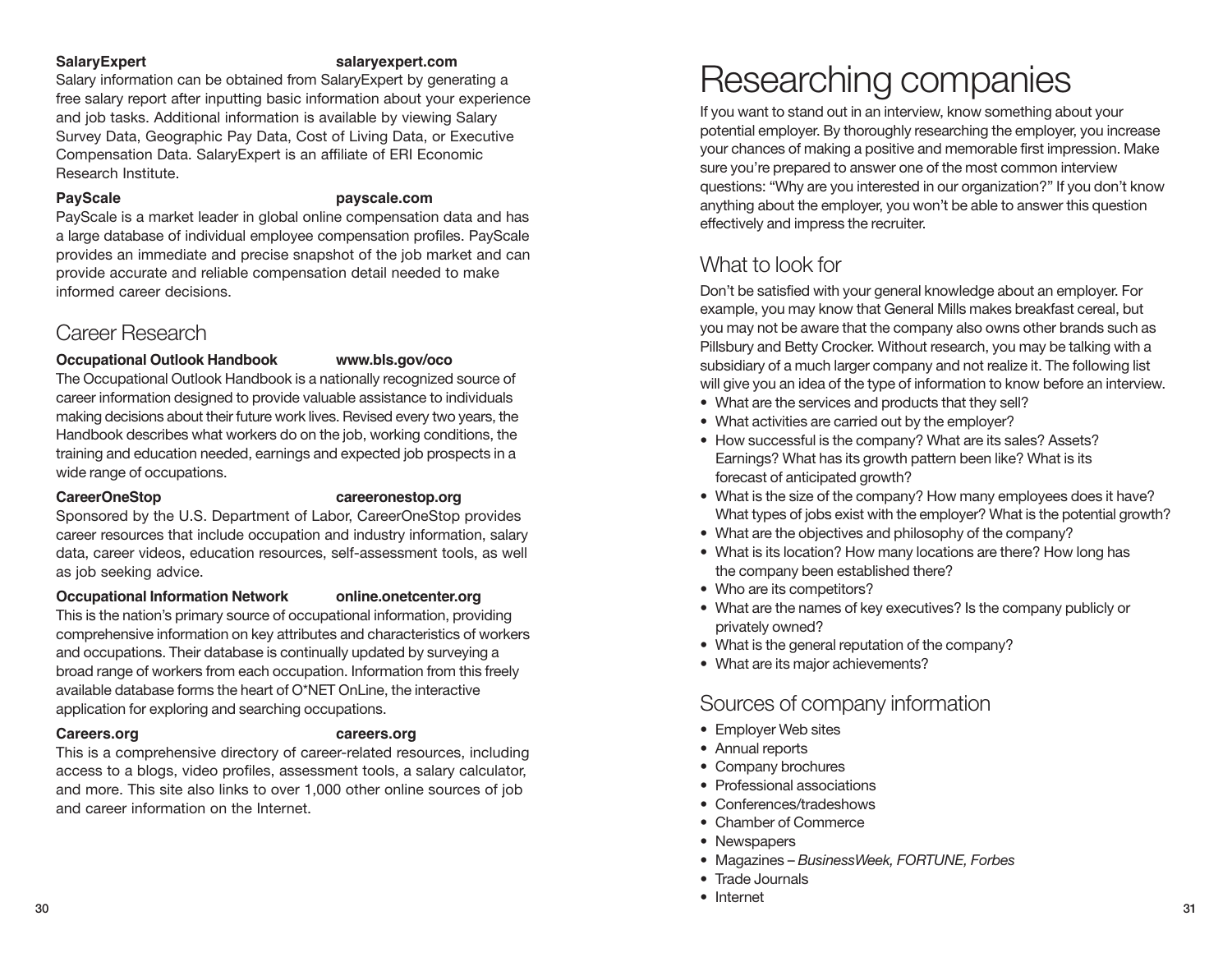#### **SalaryExpert salaryexpert.com**

Salary information can be obtained from SalaryExpert by generating a free salary report after inputting basic information about your experience and job tasks. Additional information is available by viewing Salary Survey Data, Geographic Pay Data, Cost of Living Data, or Executive Compensation Data. SalaryExpert is an affiliate of ERI Economic Research Institute.

### **PayScale payscale.com**

PayScale is a market leader in global online compensation data and has a large database of individual employee compensation profiles. PayScale provides an immediate and precise snapshot of the job market and can provide accurate and reliable compensation detail needed to make informed career decisions.

# Career Research

### **Occupational Outlook Handbook www.bls.gov/oco**

The Occupational Outlook Handbook is a nationally recognized source of career information designed to provide valuable assistance to individuals making decisions about their future work lives. Revised every two years, the Handbook describes what workers do on the job, working conditions, the training and education needed, earnings and expected job prospects in a wide range of occupations.

### **CareerOneStop careeronestop.org**

Sponsored by the U.S. Department of Labor, CareerOneStop provides career resources that include occupation and industry information, salary data, career videos, education resources, self-assessment tools, as well as job seeking advice.

### **Occupational Information Network online.onetcenter.org**

This is the nation's primary source of occupational information, providing comprehensive information on key attributes and characteristics of workers and occupations. Their database is continually updated by surveying a broad range of workers from each occupation. Information from this freely available database forms the heart of O\*NET OnLine, the interactive application for exploring and searching occupations.

### **Careers.org careers.org**

This is a comprehensive directory of career-related resources, including access to a blogs, video profiles, assessment tools, a salary calculator, and more. This site also links to over 1,000 other online sources of job and career information on the Internet.

# Researching companies

If you want to stand out in an interview, know something about your potential employer. By thoroughly researching the employer, you increase your chances of making a positive and memorable first impression. Make sure you're prepared to answer one of the most common interview questions: "Why are you interested in our organization?" If you don't know anything about the employer, you won't be able to answer this question effectively and impress the recruiter.

# What to look for

Don't be satisfied with your general knowledge about an employer. For example, you may know that General Mills makes breakfast cereal, but you may not be aware that the company also owns other brands such as Pillsbury and Betty Crocker. Without research, you may be talking with a subsidiary of a much larger company and not realize it. The following list will give you an idea of the type of information to know before an interview.

- What are the services and products that they sell?
- What activities are carried out by the employer?
- How successful is the company? What are its sales? Assets? Earnings? What has its growth pattern been like? What is its forecast of anticipated growth?
- What is the size of the company? How many employees does it have? What types of jobs exist with the employer? What is the potential growth?
- What are the objectives and philosophy of the company?
- What is its location? How many locations are there? How long has the company been established there?
- Who are its competitors?
- What are the names of key executives? Is the company publicly or privately owned?
- What is the general reputation of the company?
- What are its major achievements?

# Sources of company information

- Employer Web sites
- Annual reports
- Company brochures
- Professional associations
- Conferences/tradeshows
- Chamber of Commerce
- Newspapers
- Magazines *BusinessWeek, FORTUNE, Forbes*
- Trade Journals
- Internet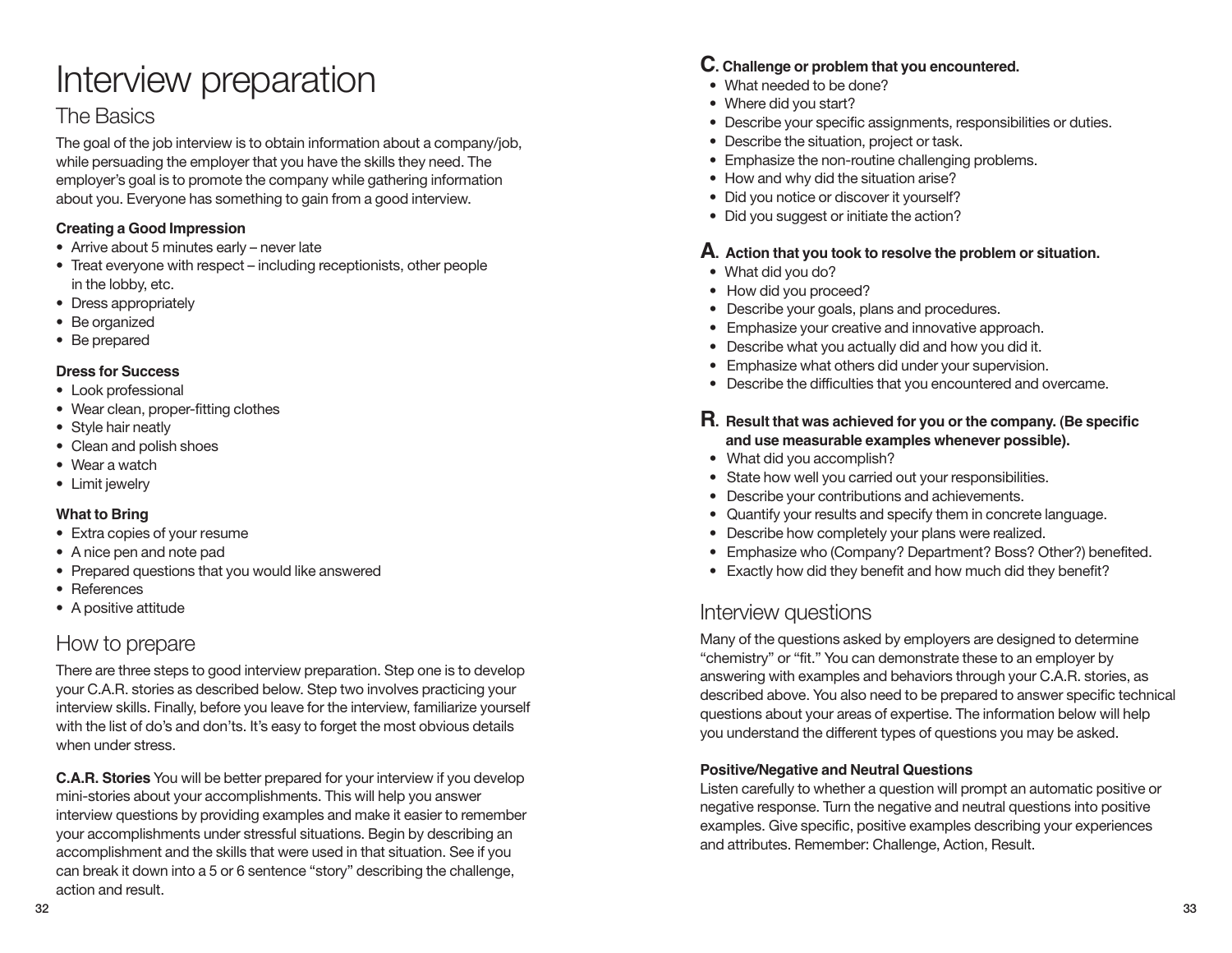# Interview preparation

## The Basics

The goal of the job interview is to obtain information about a company/job, while persuading the employer that you have the skills they need. The employer's goal is to promote the company while gathering information about you. Everyone has something to gain from a good interview.

### **Creating a Good Impression**

- Arrive about 5 minutes early never late
- Treat everyone with respect including receptionists, other people in the lobby, etc.
- Dress appropriately
- Be organized
- Be prepared

### **Dress for Success**

- Look professional
- Wear clean, proper-fitting clothes
- Style hair neatly
- Clean and polish shoes
- Wear a watch
- Limit jewelry

### **What to Bring**

- Extra copies of your resume
- A nice pen and note pad
- Prepared questions that you would like answered
- References
- A positive attitude

# How to prepare

There are three steps to good interview preparation. Step one is to develop your C.A.R. stories as described below. Step two involves practicing your interview skills. Finally, before you leave for the interview, familiarize yourself with the list of do's and don'ts. It's easy to forget the most obvious details when under stress.

**C.A.R. Stories** You will be better prepared for your interview if you develop mini-stories about your accomplishments. This will help you answer interview questions by providing examples and make it easier to remember your accomplishments under stressful situations. Begin by describing an accomplishment and the skills that were used in that situation. See if you can break it down into a 5 or 6 sentence "story" describing the challenge, action and result.

### **C. Challenge or problem that you encountered.**

- What needed to be done?
- Where did you start?
- Describe your specific assignments, responsibilities or duties.
- Describe the situation, project or task.
- Emphasize the non-routine challenging problems.
- How and why did the situation arise?
- Did you notice or discover it yourself?
- Did you suggest or initiate the action?

### **A. Action that you took to resolve the problem or situation.**

- What did you do?
- How did you proceed?
- Describe your goals, plans and procedures.
- Emphasize your creative and innovative approach.
- Describe what you actually did and how you did it.
- Emphasize what others did under your supervision.
- Describe the difficulties that you encountered and overcame.

### **R. Result that was achieved for you or the company. (Be specific and use measurable examples whenever possible).**

- What did you accomplish?
- State how well you carried out your responsibilities.
- Describe your contributions and achievements.
- Quantify your results and specify them in concrete language.
- Describe how completely your plans were realized.
- Emphasize who (Company? Department? Boss? Other?) benefited.
- Exactly how did they benefit and how much did they benefit?

## Interview questions

Many of the questions asked by employers are designed to determine "chemistry" or "fit." You can demonstrate these to an employer by answering with examples and behaviors through your C.A.R. stories, as described above. You also need to be prepared to answer specific technical questions about your areas of expertise. The information below will help you understand the different types of questions you may be asked.

### **Positive/Negative and Neutral Questions**

Listen carefully to whether a question will prompt an automatic positive or negative response. Turn the negative and neutral questions into positive examples. Give specific, positive examples describing your experiences and attributes. Remember: Challenge, Action, Result.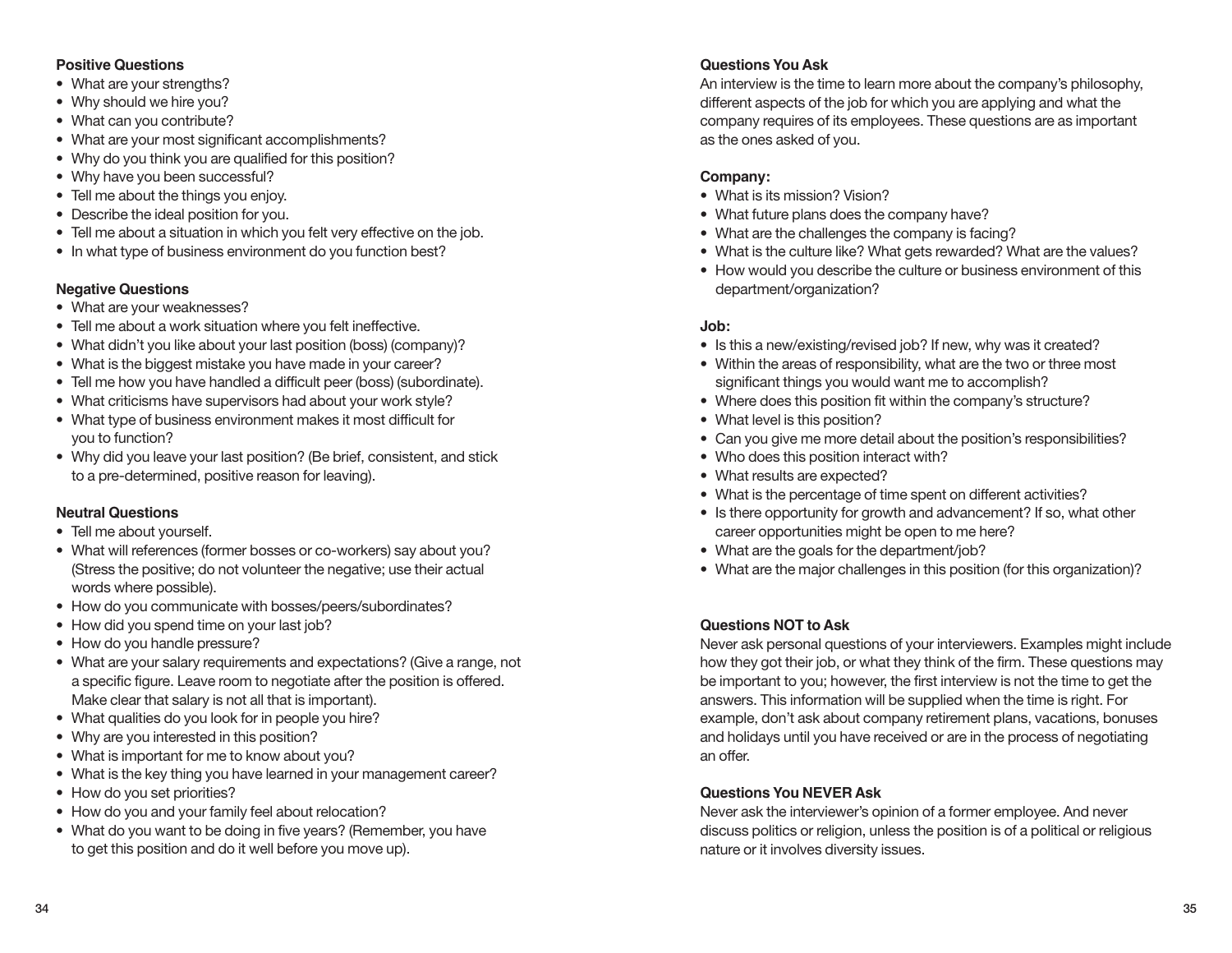#### **Positive Questions**

- What are your strengths?
- Why should we hire you?
- What can you contribute?
- What are your most significant accomplishments?
- Why do you think you are qualified for this position?
- Why have you been successful?
- Tell me about the things you enjoy.
- Describe the ideal position for you.
- Tell me about a situation in which you felt very effective on the job.
- In what type of business environment do you function best?

### **Negative Questions**

- What are your weaknesses?
- Tell me about a work situation where you felt ineffective.
- What didn't you like about your last position (boss) (company)?
- What is the biggest mistake you have made in your career?
- Tell me how you have handled a difficult peer (boss) (subordinate).
- What criticisms have supervisors had about your work style?
- What type of business environment makes it most difficult for you to function?
- Why did you leave your last position? (Be brief, consistent, and stick to a pre-determined, positive reason for leaving).

### **Neutral Questions**

- Tell me about yourself.
- What will references (former bosses or co-workers) say about you? (Stress the positive; do not volunteer the negative; use their actual words where possible).
- How do you communicate with bosses/peers/subordinates?
- How did you spend time on your last job?
- How do you handle pressure?
- What are your salary requirements and expectations? (Give a range, not a specific figure. Leave room to negotiate after the position is offered. Make clear that salary is not all that is important).
- What qualities do you look for in people you hire?
- Why are you interested in this position?
- What is important for me to know about you?
- What is the key thing you have learned in your management career?
- How do you set priorities?
- How do you and your family feel about relocation?
- What do you want to be doing in five years? (Remember, you have to get this position and do it well before you move up).

### **Questions You Ask**

An interview is the time to learn more about the company's philosophy, different aspects of the job for which you are applying and what the company requires of its employees. These questions are as important as the ones asked of you.

### **Company:**

- What is its mission? Vision?
- What future plans does the company have?
- What are the challenges the company is facing?
- What is the culture like? What gets rewarded? What are the values?
- How would you describe the culture or business environment of this department/organization?

### **Job:**

- Is this a new/existing/revised job? If new, why was it created?
- Within the areas of responsibility, what are the two or three most significant things you would want me to accomplish?
- Where does this position fit within the company's structure?
- What level is this position?
- Can you give me more detail about the position's responsibilities?
- Who does this position interact with?
- What results are expected?
- What is the percentage of time spent on different activities?
- Is there opportunity for growth and advancement? If so, what other career opportunities might be open to me here?
- What are the goals for the department/job?
- What are the major challenges in this position (for this organization)?

### **Questions NOT to Ask**

Never ask personal questions of your interviewers. Examples might include how they got their job, or what they think of the firm. These questions may be important to you; however, the first interview is not the time to get the answers. This information will be supplied when the time is right. For example, don't ask about company retirement plans, vacations, bonuses and holidays until you have received or are in the process of negotiating an offer.

### **Questions You NEVER Ask**

Never ask the interviewer's opinion of a former employee. And never discuss politics or religion, unless the position is of a political or religious nature or it involves diversity issues.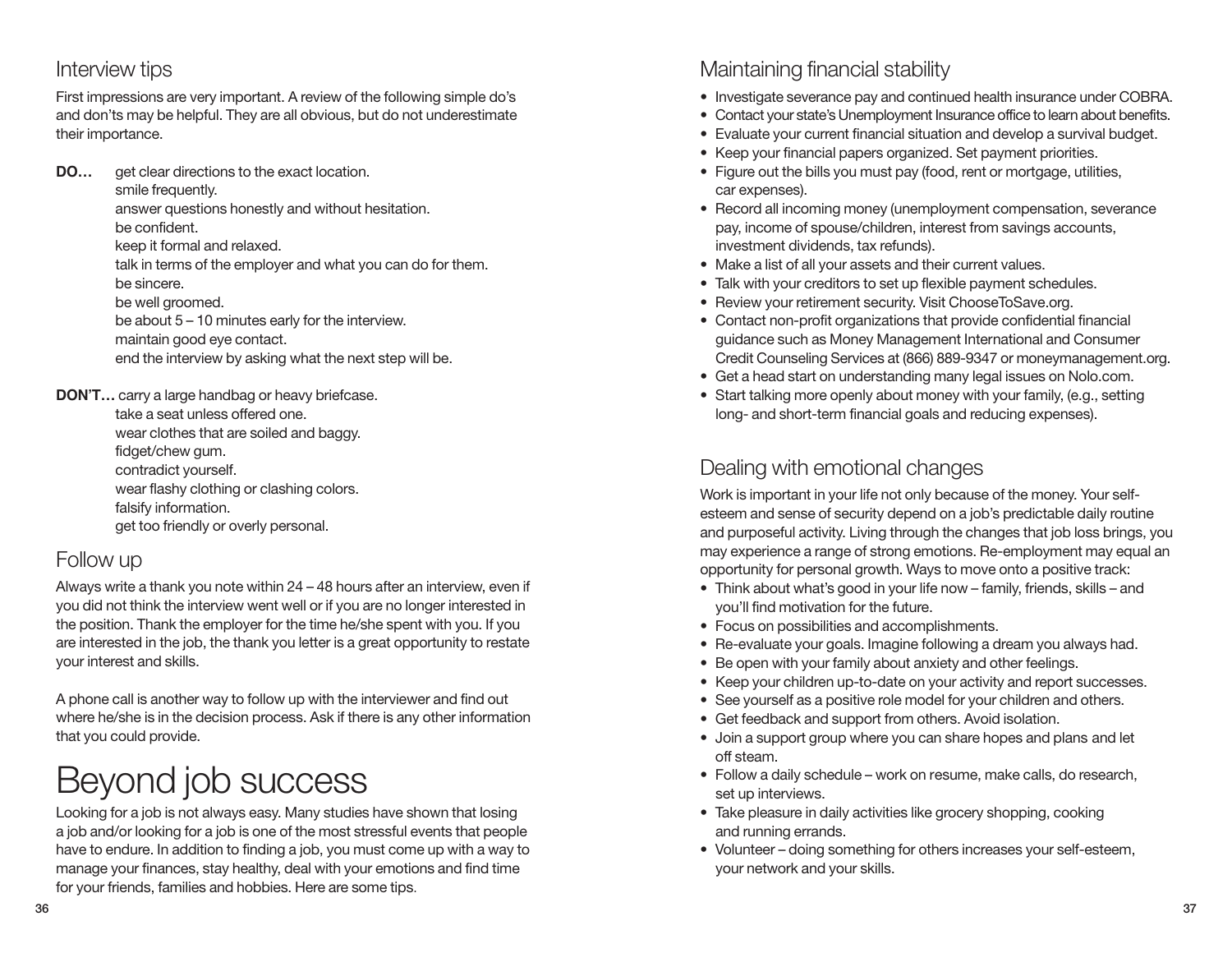## Interview tips

First impressions are very important. A review of the following simple do's and don'ts may be helpful. They are all obvious, but do not underestimate their importance.

**DO...** get clear directions to the exact location. smile frequently.

answer questions honestly and without hesitation. be confident.

keep it formal and relaxed.

talk in terms of the employer and what you can do for them. be sincere. be well groomed.

be about 5 – 10 minutes early for the interview.

maintain good eye contact.

end the interview by asking what the next step will be.

**DON'T…** carry a large handbag or heavy briefcase.

take a seat unless offered one. wear clothes that are soiled and baggy. fidget/chew gum. contradict yourself. wear flashy clothing or clashing colors. falsify information. get too friendly or overly personal.

# Follow up

Always write a thank you note within 24 – 48 hours after an interview, even if you did not think the interview went well or if you are no longer interested in the position. Thank the employer for the time he/she spent with you. If you are interested in the job, the thank you letter is a great opportunity to restate your interest and skills.

A phone call is another way to follow up with the interviewer and find out where he/she is in the decision process. Ask if there is any other information that you could provide.

# Beyond job success

Looking for a job is not always easy. Many studies have shown that losing a job and/or looking for a job is one of the most stressful events that people have to endure. In addition to finding a job, you must come up with a way to manage your finances, stay healthy, deal with your emotions and find time for your friends, families and hobbies. Here are some tips.

# Maintaining financial stability

- Investigate severance pay and continued health insurance under COBRA.
- Contact your state's Unemployment Insurance office to learn about benefits.
- Evaluate your current financial situation and develop a survival budget.
- Keep your financial papers organized. Set payment priorities.
- Figure out the bills you must pay (food, rent or mortgage, utilities, car expenses).
- Record all incoming money (unemployment compensation, severance pay, income of spouse/children, interest from savings accounts, investment dividends, tax refunds).
- Make a list of all your assets and their current values.
- Talk with your creditors to set up flexible payment schedules.
- Review your retirement security. Visit ChooseToSave.org.
- Contact non-profit organizations that provide confidential financial guidance such as Money Management International and Consumer Credit Counseling Services at (866) 889-9347 or moneymanagement.org.
- Get a head start on understanding many legal issues on Nolo.com.
- Start talking more openly about money with your family, (e.g., setting long- and short-term financial goals and reducing expenses).

# Dealing with emotional changes

Work is important in your life not only because of the money. Your selfesteem and sense of security depend on a job's predictable daily routine and purposeful activity. Living through the changes that job loss brings, you may experience a range of strong emotions. Re-employment may equal an opportunity for personal growth. Ways to move onto a positive track:

- Think about what's good in your life now family, friends, skills and you'll find motivation for the future.
- Focus on possibilities and accomplishments.
- Re-evaluate your goals. Imagine following a dream you always had.
- Be open with your family about anxiety and other feelings.
- Keep your children up-to-date on your activity and report successes.
- See yourself as a positive role model for your children and others.
- Get feedback and support from others. Avoid isolation.
- Join a support group where you can share hopes and plans and let off steam.
- Follow a daily schedule work on resume, make calls, do research, set up interviews.
- Take pleasure in daily activities like grocery shopping, cooking and running errands.
- Volunteer doing something for others increases your self-esteem, your network and your skills.